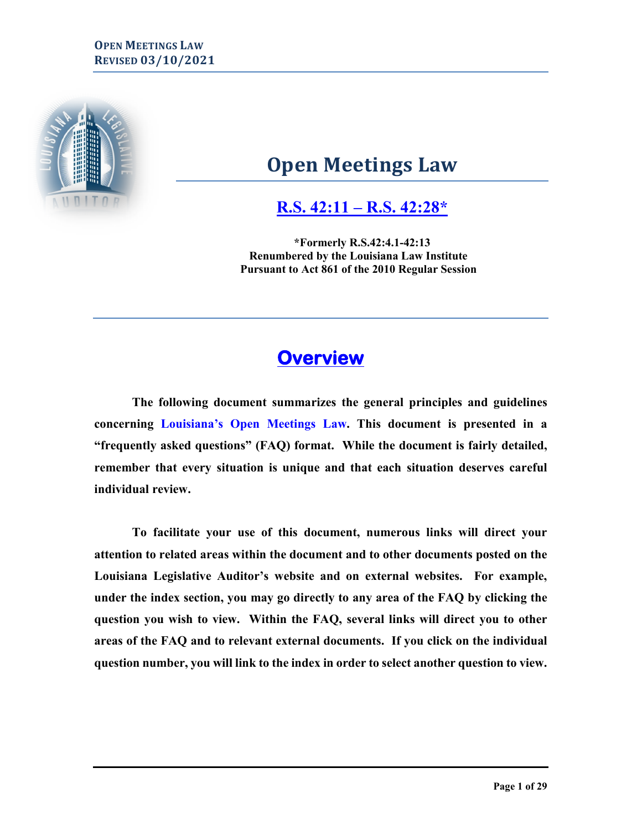

# **Open Meetings Law**

**[R.S. 42:11 –](http://www.legis.la.gov/Legis/Law.aspx?d=727656) R.S. 42:28\***

**\*Formerly R.S.42:4.1-42:13 Renumbered by the Louisiana Law Institute Pursuant to Act 861 of the 2010 Regular Session**

# **Overview**

**The following document summarizes the general principles and guidelines concerning Louisiana's Open Meetings Law. This document is presented in a "frequently asked questions" (FAQ) format. While the document is fairly detailed, remember that every situation is unique and that each situation deserves careful individual review.** 

<span id="page-0-0"></span>**To facilitate your use of this document, numerous links will direct your attention to related areas within the document and to other documents posted on the Louisiana Legislative Auditor's website and on external websites. For example, under the index section, you may go directly to any area of the FAQ by clicking the question you wish to view. Within the FAQ, several links will direct you to other areas of the FAQ and to relevant external documents. If you click on the individual question number, you will link to the index in order to select another question to view.**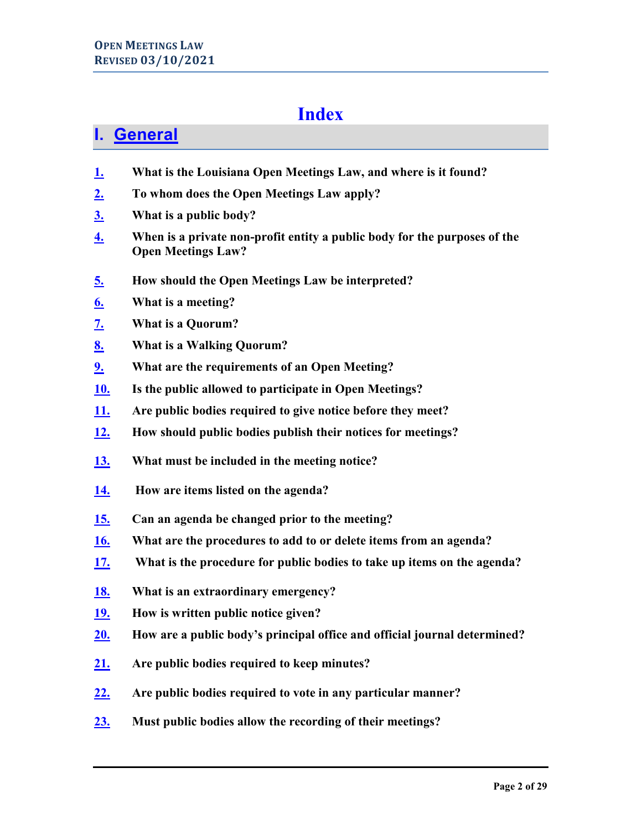# **Index**

# **I. [General](#page-4-0)**

- **[1.](#page-3-0) What is the Louisiana Open Meetings Law, and where is it found?**
- **[2.](#page-4-1) To whom does the Open Meetings Law apply?**
- **[3.](#page-4-2) What is a public body?**
- **[4.](#page-5-0) When is a private non-profit entity a public body for the purposes of the Open Meetings Law?**
- **[5.](#page-5-1) How should the Open Meetings Law be interpreted?**
- **[6.](#page-6-0) What is a meeting?**
- **[7.](#page-6-1) What is a Quorum?**
- **[8.](#page-7-0) What is a Walking Quorum?**
- **[9.](#page-7-1) What are the requirements of an Open Meeting?**
- **[10.](#page-8-0) Is the public allowed to participate in Open Meetings?**
- **[11.](#page-9-0) Are public bodies required to give notice before they meet?**
- **[12.](#page-9-1) How should public bodies publish their notices for meetings?**
- **[13.](#page-9-2) What must be included in the meeting notice?**
- **[14.](#page-10-0) How are items listed on the agenda?**
- **[15.](#page-10-1) Can an agenda be changed prior to the meeting?**
- **[16.](#page-10-2) What are the procedures to add to or delete items from an agenda?**
- **[17.](#page-11-0) What is the procedure for public bodies to take up items on the agenda?**
- **[18.](#page-11-1) What is an extraordinary emergency?**
- **[19.](#page-12-0) How is written public notice given?**
- **[20.](#page-12-1) How are a public body's principal office and official journal determined?**
- **[21.](#page-13-0) Are public bodies required to keep minutes?**
- **[22.](#page-14-0) Are public bodies required to vote in any particular manner?**
- **[23.](#page-15-0) Must public bodies allow the recording of their meetings?**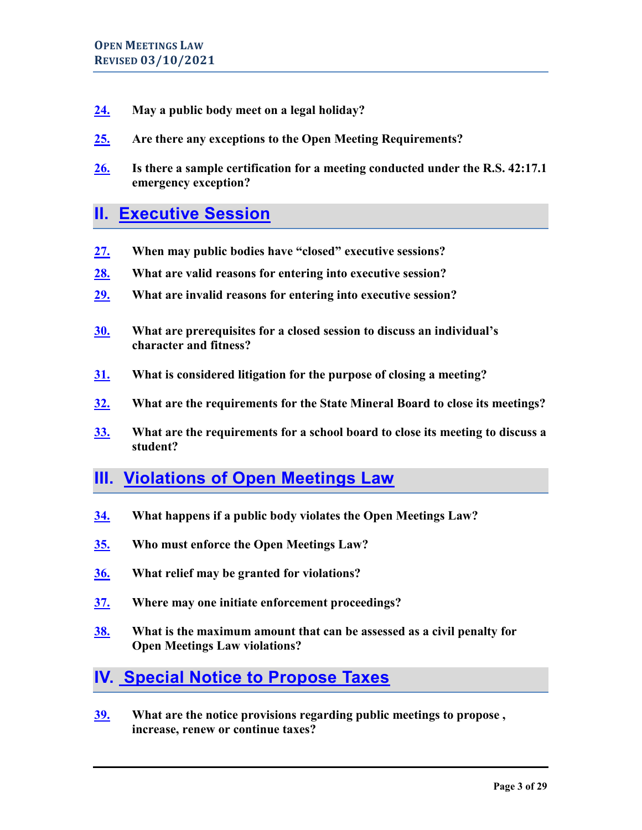- **[24.](#page-15-1) May a public body meet on a legal holiday?**
- **[25.](#page-16-0) Are there any exceptions to the Open Meeting Requirements?**
- **[26.](#page-17-0) Is there a sample certification for a meeting conducted under the R.S. 42:17.1 emergency exception?**

# **II. [Executive Session](#page-18-0)**

- **[27.](#page-18-1) When may public bodies have "closed" executive sessions?**
- **[28.](#page-19-0) What are valid reasons for entering into executive session?**
- **[29.](#page-20-0) What are invalid reasons for entering into executive session?**
- **[30.](#page-20-1) What are prerequisites for a closed session to discuss an individual's character and fitness?**
- **[31.](#page-21-0) What is considered litigation for the purpose of closing a meeting?**
- **[32.](#page-21-1) What are the requirements for the State Mineral Board to close its meetings?**
- **[33.](#page-21-2) What are the requirements for a school board to close its meeting to discuss a student?**

# **III. [Violations of Open Meetings Law](#page-21-3)**

- **[34.](#page-21-4) What happens if a public body violates the Open Meetings Law?**
- **[35.](#page-22-0) Who must enforce the Open Meetings Law?**
- **[36.](#page-22-1) What relief may be granted for violations?**
- **[37.](#page-23-0) Where may one initiate enforcement proceedings?**
- **[38.](#page-23-1) What is the maximum amount that can be assessed as a civil penalty for Open Meetings Law violations?**

# **IV. [Special Notice to Propose Taxes](#page-23-2)**

**[39.](#page-23-3) What are the notice provisions regarding public meetings to propose , increase, renew or continue taxes?**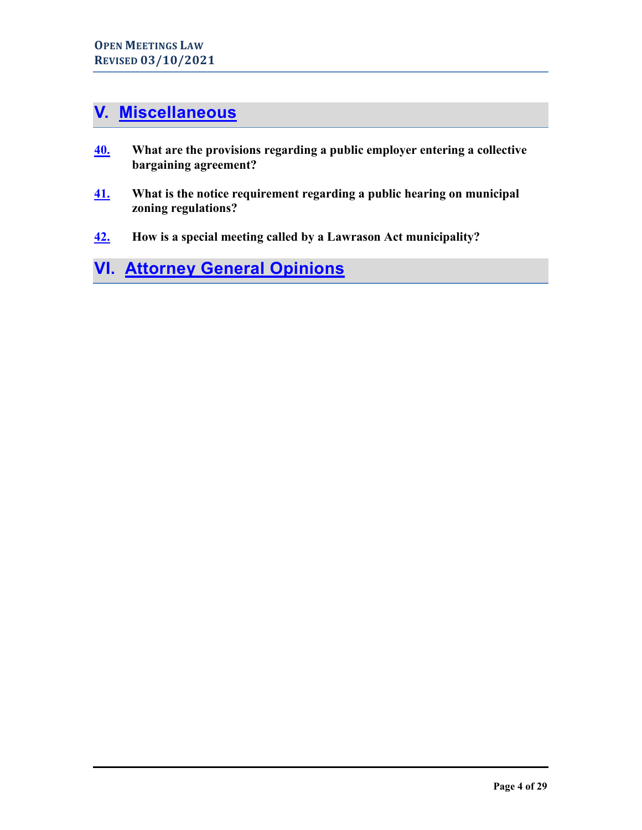# **V. [Miscellaneous](#page-24-0)**

- **[40.](#page-24-1) What are the provisions regarding a public employer entering a collective bargaining agreement?**
- **[41.](#page-25-0) What is the notice requirement regarding a public hearing on municipal zoning regulations?**
- **[42.](#page-25-1) How is a special meeting called by a Lawrason Act municipality?**

# <span id="page-3-0"></span>**VI. [Attorney General Opinions](#page-25-2)**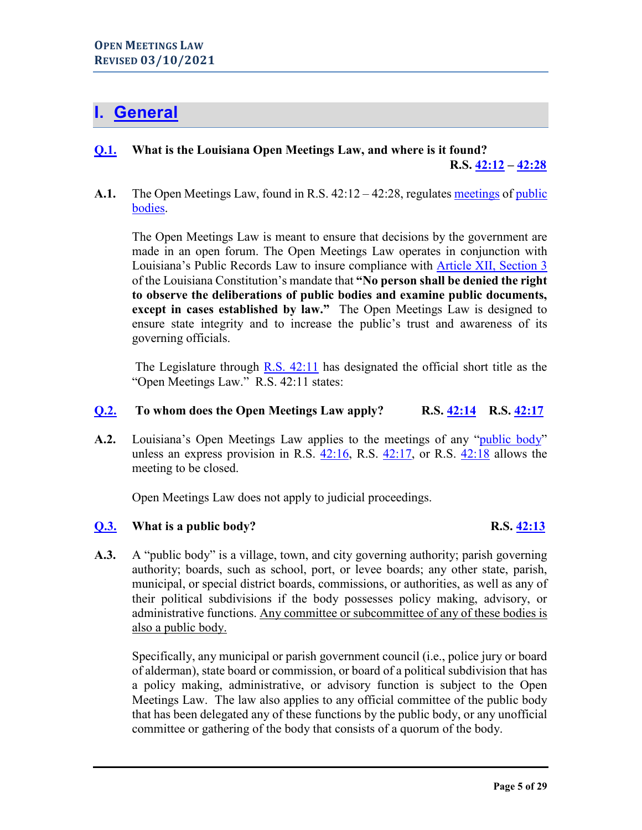# <span id="page-4-0"></span>**I. [General](#page-0-0)**

# **[Q.1.](#page-0-0) What is the Louisiana Open Meetings Law, and where is it found? R.S. [42:12](http://legis.la.gov/Legis/Law.aspx?d=99443) – [42:28](http://legis.la.gov/Legis/Law.aspx?d=99299)**

A.1. The Open Meetings Law, found in R.S. 42:12 – 42:28, regulates [meetings](#page-5-1) of public [bodies.](#page-4-2)

The Open Meetings Law is meant to ensure that decisions by the government are made in an open forum. The Open Meetings Law operates in conjunction with Louisiana's Public Records Law to insure compliance with [Article XII, Section 3](http://legis.la.gov/Legis/Law.aspx?d=206355) of the Louisiana Constitution's mandate that **"No person shall be denied the right to observe the deliberations of public bodies and examine public documents, except in cases established by law."** The Open Meetings Law is designed to ensure state integrity and to increase the public's trust and awareness of its governing officials.

The Legislature through [R.S. 42:11](http://legis.la.gov/Legis/Law.aspx?d=727656) has designated the official short title as the "Open Meetings Law." R.S. 42:11 states:

# <span id="page-4-1"></span>**[Q.2.](#page-0-0) To whom does the Open Meetings Law apply? R.S. [42:14](http://legis.la.gov/Legis/Law.aspx?d=99481) R.S. [42:17](http://legis.la.gov/Legis/Law.aspx?d=99493)**

**A.2.** Louisiana's Open Meetings Law applies to the meetings of any ["public body"](#page-4-2) unless an express provision in R.S. [42:16,](http://legis.la.gov/Legis/Law.aspx?p=y&d=99492) R.S. [42:17,](http://legis.la.gov/Legis/Law.aspx?d=99493) or R.S. [42:18](http://legis.la.gov/Legis/Law.aspx?d=99494) allows the meeting to be closed.

Open Meetings Law does not apply to judicial proceedings.

## <span id="page-4-2"></span>**[Q.3.](#page-0-0) What is a public body?** R.S. [42:13](http://legis.la.gov/Legis/Law.aspx?p=y&d=99444)

**A.3.** A "public body" is a village, town, and city governing authority; parish governing authority; boards, such as school, port, or levee boards; any other state, parish, municipal, or special district boards, commissions, or authorities, as well as any of their political subdivisions if the body possesses policy making, advisory, or administrative functions. Any committee or subcommittee of any of these bodies is also a public body.

Specifically, any municipal or parish government council (i.e., police jury or board of alderman), state board or commission, or board of a political subdivision that has a policy making, administrative, or advisory function is subject to the Open Meetings Law. The law also applies to any official committee of the public body that has been delegated any of these functions by the public body, or any unofficial committee or gathering of the body that consists of a quorum of the body.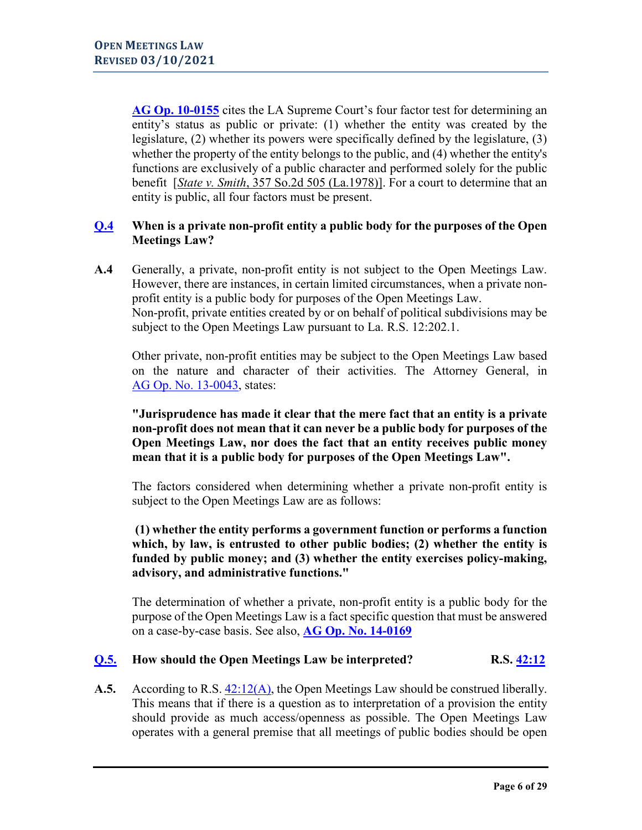**[AG Op. 10-0155](https://links.lla.la.gov/go.nsf/getAGO?OpenAgent&agokey=10-0155)** cites the LA Supreme Court's four factor test for determining an entity's status as public or private: (1) whether the entity was created by the legislature, (2) whether its powers were specifically defined by the legislature, (3) whether the property of the entity belongs to the public, and (4) whether the entity's functions are exclusively of a public character and performed solely for the public benefit [*[State v. Smith](http://www.westlaw.com/Find/Default.wl?rs=dfa1.0&vr=2.0&DB=735&FindType=Y&SerialNum=1978113508)*, 357 So.2d 505 (La.1978)]. For a court to determine that an entity is public, all four factors must be present.

## <span id="page-5-0"></span>**[Q.4](#page-0-0) When is a private non-profit entity a public body for the purposes of the Open Meetings Law?**

**A.4** Generally, a private, non-profit entity is not subject to the Open Meetings Law. However, there are instances, in certain limited circumstances, when a private nonprofit entity is a public body for purposes of the Open Meetings Law. Non-profit, private entities created by or on behalf of political subdivisions may be subject to the Open Meetings Law pursuant to La. R.S. 12:202.1.

Other private, non-profit entities may be subject to the Open Meetings Law based on the nature and character of their activities. The Attorney General, in AG [Op. No. 13-0043,](https://links.lla.la.gov/go.nsf/getAGO?OpenAgent&agokey=13-0043) states:

**"Jurisprudence has made it clear that the mere fact that an entity is a private non-profit does not mean that it can never be a public body for purposes of the Open Meetings Law, nor does the fact that an entity receives public money mean that it is a public body for purposes of the Open Meetings Law".**

The factors considered when determining whether a private non-profit entity is subject to the Open Meetings Law are as follows:

# **(1) whether the entity performs a government function or performs a function which, by law, is entrusted to other public bodies; (2) whether the entity is funded by public money; and (3) whether the entity exercises policy-making, advisory, and administrative functions."**

The determination of whether a private, non-profit entity is a public body for the purpose of the Open Meetings Law is a fact specific question that must be answered on a case-by-case basis. See also, **[AG Op. No. 14-0169](https://links.lla.la.gov/go.nsf/getAGO?OpenAgent&agokey=14-0169)**

## <span id="page-5-1"></span>**[Q.5.](#page-0-0) How should the Open Meetings Law be interpreted? R.S. [42:12](http://legis.la.gov/Legis/Law.aspx?p=y&d=99443)**

**A.5.** According to R.S. [42:12\(A\),](http://legis.la.gov/Legis/Law.aspx?p=y&d=99443) the Open Meetings Law should be construed liberally. This means that if there is a question as to interpretation of a provision the entity should provide as much access/openness as possible. The Open Meetings Law operates with a general premise that all meetings of public bodies should be open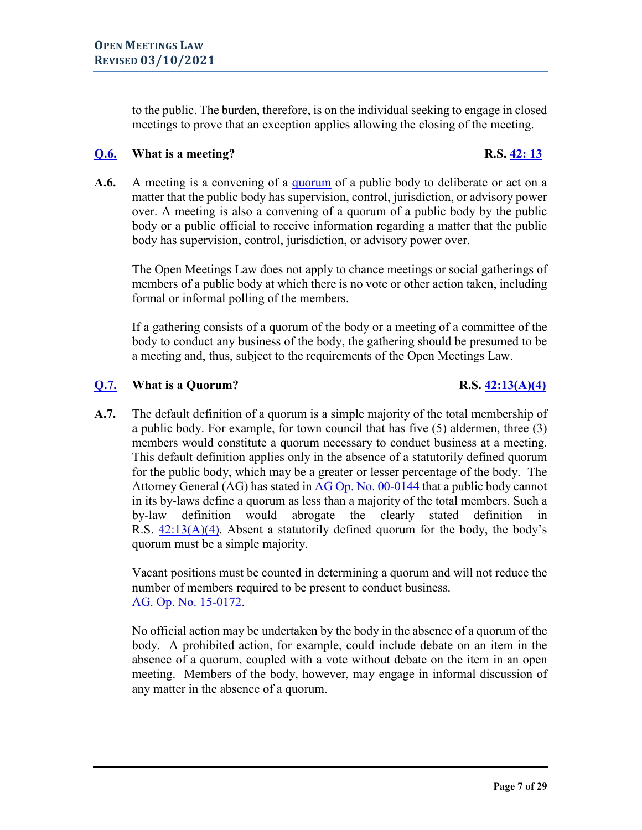to the public. The burden, therefore, is on the individual seeking to engage in closed meetings to prove that an exception applies allowing the closing of the meeting.

# <span id="page-6-0"></span>**[Q.6.](#page-0-0) What is a meeting? R.S. [42: 13](http://legis.la.gov/Legis/Law.aspx?d=99444)**

**A.6.** A meeting is a convening of a [quorum](#page-6-0) of a public body to deliberate or act on a matter that the public body has supervision, control, jurisdiction, or advisory power over. A meeting is also a convening of a quorum of a public body by the public body or a public official to receive information regarding a matter that the public body has supervision, control, jurisdiction, or advisory power over.

The Open Meetings Law does not apply to chance meetings or social gatherings of members of a public body at which there is no vote or other action taken, including formal or informal polling of the members.

If a gathering consists of a quorum of the body or a meeting of a committee of the body to conduct any business of the body, the gathering should be presumed to be a meeting and, thus, subject to the requirements of the Open Meetings Law.

# <span id="page-6-1"></span>**[Q.7.](#page-0-0) What is a Quorum?** R.S. [42:13\(A\)\(4\)](http://legis.la.gov/Legis/Law.aspx?d=99444)

**A.7.** The default definition of a quorum is a simple majority of the total membership of a public body. For example, for town council that has five (5) aldermen, three (3) members would constitute a quorum necessary to conduct business at a meeting. This default definition applies only in the absence of a statutorily defined quorum for the public body, which may be a greater or lesser percentage of the body. The Attorney General (AG) has stated in AG Op. [No. 00-0144](https://links.lla.la.gov/go.nsf/getAGO?OpenAgent&agokey=00-0144) that a public body cannot in its by-laws define a quorum as less than a majority of the total members. Such a by-law definition would abrogate the clearly stated definition in R.S.  $42:13(A)(4)$ . Absent a statutorily defined quorum for the body, the body's quorum must be a simple majority.

Vacant positions must be counted in determining a quorum and will not reduce the number of members required to be present to conduct business. [AG. Op. No. 15-0172.](https://links.lla.la.gov/go.nsf/getAGO?OpenAgent&agokey=15-0172)

No official action may be undertaken by the body in the absence of a quorum of the body. A prohibited action, for example, could include debate on an item in the absence of a quorum, coupled with a vote without debate on the item in an open meeting. Members of the body, however, may engage in informal discussion of any matter in the absence of a quorum.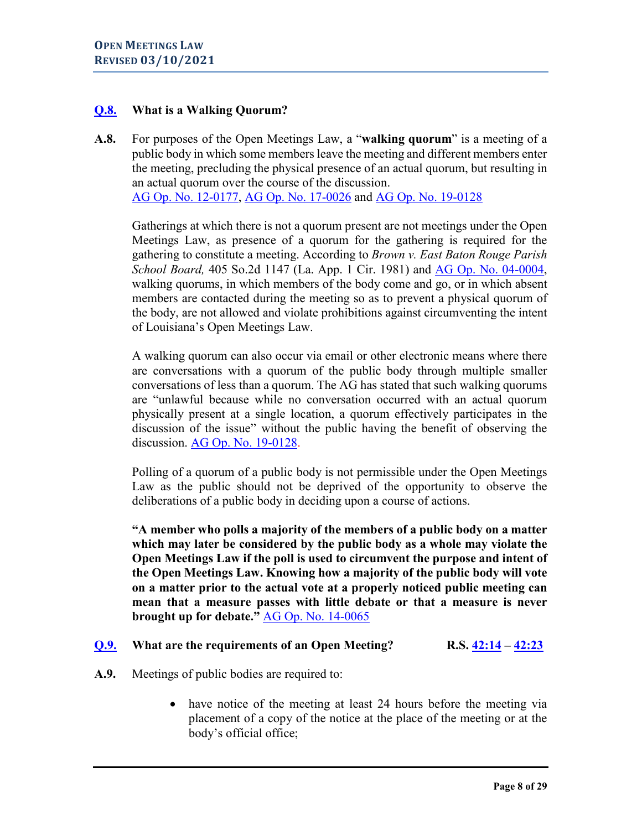# <span id="page-7-0"></span>**[Q.8.](#page-0-0) What is a Walking Quorum?**

**A.8.** For purposes of the Open Meetings Law, a "**walking quorum**" is a meeting of a public body in which some members leave the meeting and different members enter the meeting, precluding the physical presence of an actual quorum, but resulting in an actual quorum over the course of the discussion. [AG Op. No. 12-0177,](https://links.lla.la.gov/go.nsf/getAGO?OpenAgent&agokey=12-0177) [AG Op. No. 17-0026](https://links.lla.la.gov/go.nsf/getAGO?OpenAgent&agokey=17-0026) and [AG Op. No. 19-0128](https://links.lla.la.gov/go.nsf/getAGO?OpenAgent&agokey=19-0128)

 Gatherings at which there is not a quorum present are not meetings under the Open Meetings Law, as presence of a quorum for the gathering is required for the gathering to constitute a meeting. According to *Brown v. East Baton Rouge Parish School Board,* 405 So.2d 1147 (La. App. 1 Cir. 1981) and **AG Op. No. 04-0004**, walking quorums, in which members of the body come and go, or in which absent members are contacted during the meeting so as to prevent a physical quorum of the body, are not allowed and violate prohibitions against circumventing the intent of Louisiana's Open Meetings Law.

A walking quorum can also occur via email or other electronic means where there are conversations with a quorum of the public body through multiple smaller conversations of less than a quorum. The AG has stated that such walking quorums are "unlawful because while no conversation occurred with an actual quorum physically present at a single location, a quorum effectively participates in the discussion of the issue" without the public having the benefit of observing the discussion. [AG Op. No. 19-0128.](https://links.lla.la.gov/go.nsf/getAGO?OpenAgent&agokey=19-0128)

Polling of a quorum of a public body is not permissible under the Open Meetings Law as the public should not be deprived of the opportunity to observe the deliberations of a public body in deciding upon a course of actions.

**"A member who polls a majority of the members of a public body on a matter which may later be considered by the public body as a whole may violate the Open Meetings Law if the poll is used to circumvent the purpose and intent of the Open Meetings Law. Knowing how a majority of the public body will vote on a matter prior to the actual vote at a properly noticed public meeting can mean that a measure passes with little debate or that a measure is never brought up for debate."** [AG Op. No. 14-0065](https://links.lla.la.gov/go.nsf/getAGO?OpenAgent&agokey=14-0065)

## <span id="page-7-1"></span>**[Q.9.](#page-0-0) What are the requirements of an Open Meeting? R.S. [42:14](http://legis.la.gov/Legis/Law.aspx?d=99481) – [42:23](http://legis.la.gov/Legis/Law.aspx?d=99525)**

- **A.9.** Meetings of public bodies are required to:
	- have notice of the meeting at least 24 hours before the meeting via placement of a copy of the notice at the place of the meeting or at the body's official office;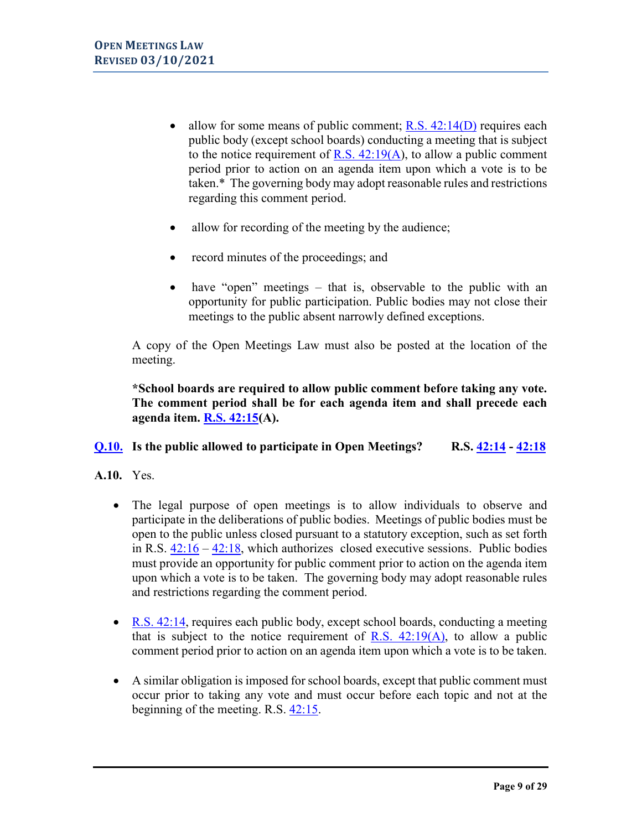- allow for some means of public comment;  $R.S. 42:14(D)$  requires each public body (except school boards) conducting a meeting that is subject to the notice requirement of R.S.  $42:19(A)$ , to allow a public comment period prior to action on an agenda item upon which a vote is to be taken.\* The governing body may adopt reasonable rules and restrictions regarding this comment period.
- allow for recording of the meeting by the audience;
- record minutes of the proceedings; and
- have "open" meetings that is, observable to the public with an opportunity for public participation. Public bodies may not close their meetings to the public absent narrowly defined exceptions.

A copy of the Open Meetings Law must also be posted at the location of the meeting.

**\*School boards are required to allow public comment before taking any vote. The comment period shall be for each agenda item and shall precede each agenda item. R.S. [42:15\(](http://legis.la.gov/Legis/Law.aspx?d=99482)A).** 

## <span id="page-8-0"></span>**[Q.10.](#page-0-0) Is the public allowed to participate in Open Meetings? R.S. [42:14](http://legis.la.gov/Legis/Law.aspx?p=y&d=99481) - [42:18](http://legis.la.gov/Legis/Law.aspx?d=99494)**

- **A.10.** Yes.
	- The legal purpose of open meetings is to allow individuals to observe and participate in the deliberations of public bodies. Meetings of public bodies must be open to the public unless closed pursuant to a statutory exception, such as set forth in R.S. [42:16](http://legis.la.gov/Legis/Law.aspx?p=y&d=99492) – [42:18,](http://legis.la.gov/Legis/Law.aspx?d=99494) which authorizes closed executive sessions. Public bodies must provide an opportunity for public comment prior to action on the agenda item upon which a vote is to be taken. The governing body may adopt reasonable rules and restrictions regarding the comment period.
	- [R.S. 42:14,](http://legis.la.gov/Legis/Law.aspx?p=y&d=99481) requires each public body, except school boards, conducting a meeting that is subject to the notice requirement of R.S.  $42:19(A)$ , to allow a public comment period prior to action on an agenda item upon which a vote is to be taken.
	- A similar obligation is imposed for school boards, except that public comment must occur prior to taking any vote and must occur before each topic and not at the beginning of the meeting. R.S. [42:15.](http://legis.la.gov/Legis/Law.aspx?p=y&d=99482)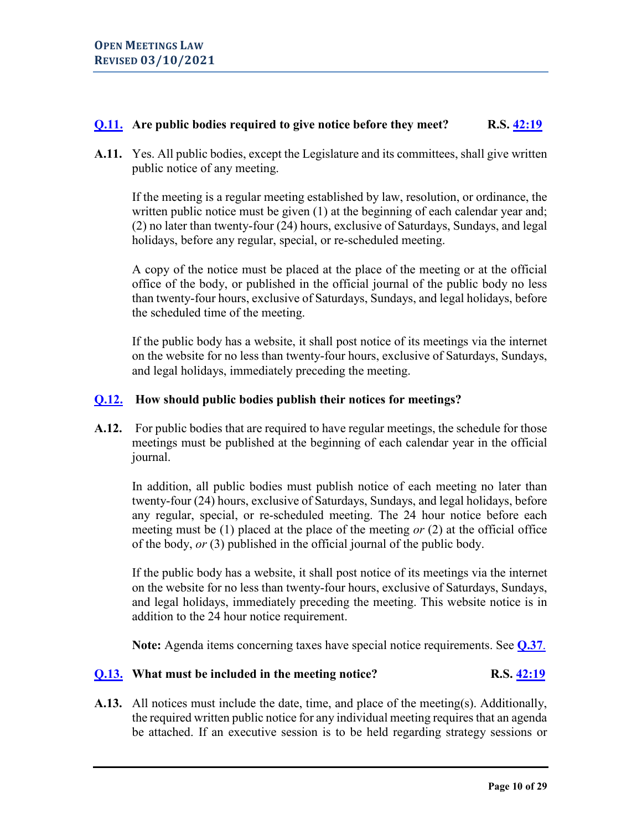# <span id="page-9-0"></span>**[Q.11.](#page-0-0)** Are public bodies required to give notice before they meet? R.S.  $\frac{42:19}{ }$

**A.11.** Yes. All public bodies, except the Legislature and its committees, shall give written public notice of any meeting.

If the meeting is a regular meeting established by law, resolution, or ordinance, the written public notice must be given (1) at the beginning of each calendar year and; (2) no later than twenty-four (24) hours, exclusive of Saturdays, Sundays, and legal holidays, before any regular, special, or re-scheduled meeting.

A copy of the notice must be placed at the place of the meeting or at the official office of the body, or published in the official journal of the public body no less than twenty-four hours, exclusive of Saturdays, Sundays, and legal holidays, before the scheduled time of the meeting.

If the public body has a website, it shall post notice of its meetings via the internet on the website for no less than twenty-four hours, exclusive of Saturdays, Sundays, and legal holidays, immediately preceding the meeting.

# <span id="page-9-1"></span>**[Q.12.](#page-0-0) How should public bodies publish their notices for meetings?**

**A.12.** For public bodies that are required to have regular meetings, the schedule for those meetings must be published at the beginning of each calendar year in the official journal.

In addition, all public bodies must publish notice of each meeting no later than twenty-four (24) hours, exclusive of Saturdays, Sundays, and legal holidays, before any regular, special, or re-scheduled meeting. The 24 hour notice before each meeting must be (1) placed at the place of the meeting *or* (2) at the official office of the body, *or* (3) published in the official journal of the public body.

If the public body has a website, it shall post notice of its meetings via the internet on the website for no less than twenty-four hours, exclusive of Saturdays, Sundays, and legal holidays, immediately preceding the meeting. This website notice is in addition to the 24 hour notice requirement.

**Note:** Agenda items concerning taxes have special notice requirements. See **[Q.37](#page-23-0)**.

## <span id="page-9-2"></span>**[Q.13.](#page-0-0)** What must be included in the meeting notice? R.S. [42:19](http://legis.la.gov/Legis/Law.aspx?d=99506)

**A.13.** All notices must include the date, time, and place of the meeting(s). Additionally, the required written public notice for any individual meeting requires that an agenda be attached. If an executive session is to be held regarding strategy sessions or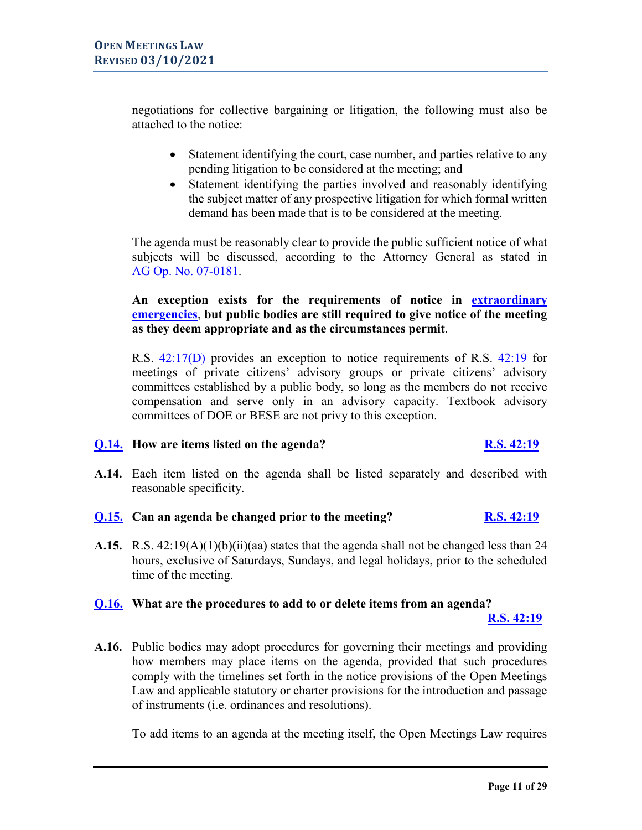negotiations for collective bargaining or litigation, the following must also be attached to the notice:

- Statement identifying the court, case number, and parties relative to any pending litigation to be considered at the meeting; and
- Statement identifying the parties involved and reasonably identifying the subject matter of any prospective litigation for which formal written demand has been made that is to be considered at the meeting.

The agenda must be reasonably clear to provide the public sufficient notice of what subjects will be discussed, according to the Attorney General as stated in [AG Op. No. 07-0181.](https://links.lla.la.gov/go.nsf/getAGO?OpenAgent&agokey=17-0181)

# **An exception exists for the requirements of notice in [extraordinary](#page-9-1)  [emergencies](#page-9-1)**, **but public bodies are still required to give notice of the meeting as they deem appropriate and as the circumstances permit**.

R.S. [42:17\(D\)](http://legis.la.gov/Legis/Law.aspx?d=99493) provides an exception to notice requirements of R.S. [42:19](http://legis.la.gov/Legis/Law.aspx?d=99506) for meetings of private citizens' advisory groups or private citizens' advisory committees established by a public body, so long as the members do not receive compensation and serve only in an advisory capacity. Textbook advisory committees of DOE or BESE are not privy to this exception.

# <span id="page-10-0"></span>**[Q.14.](#page-0-0) How are items listed on the agenda? [R.S. 42:19](http://www.legis.la.gov/Legis/Law.aspx?d=99506)**

**A.14.** Each item listed on the agenda shall be listed separately and described with reasonable specificity.

# <span id="page-10-1"></span>**[Q.15.](#page-0-0) Can an agenda be changed prior to the meeting? [R.S. 42:19](http://www.legis.la.gov/Legis/Law.aspx?d=99506)**

**A.15.** R.S. 42:19(A)(1)(b)(ii)(aa) states that the agenda shall not be changed less than 24 hours, exclusive of Saturdays, Sundays, and legal holidays, prior to the scheduled time of the meeting.

# <span id="page-10-2"></span>**[Q.16.](#page-0-0) What are the procedures to add to or delete items from an agenda?**

 **[R.S. 42:19](http://legis.la.gov/Legis/Law.aspx?d=99506)**

**A.16.** Public bodies may adopt procedures for governing their meetings and providing how members may place items on the agenda, provided that such procedures comply with the timelines set forth in the notice provisions of the Open Meetings Law and applicable statutory or charter provisions for the introduction and passage of instruments (i.e. ordinances and resolutions).

To add items to an agenda at the meeting itself, the Open Meetings Law requires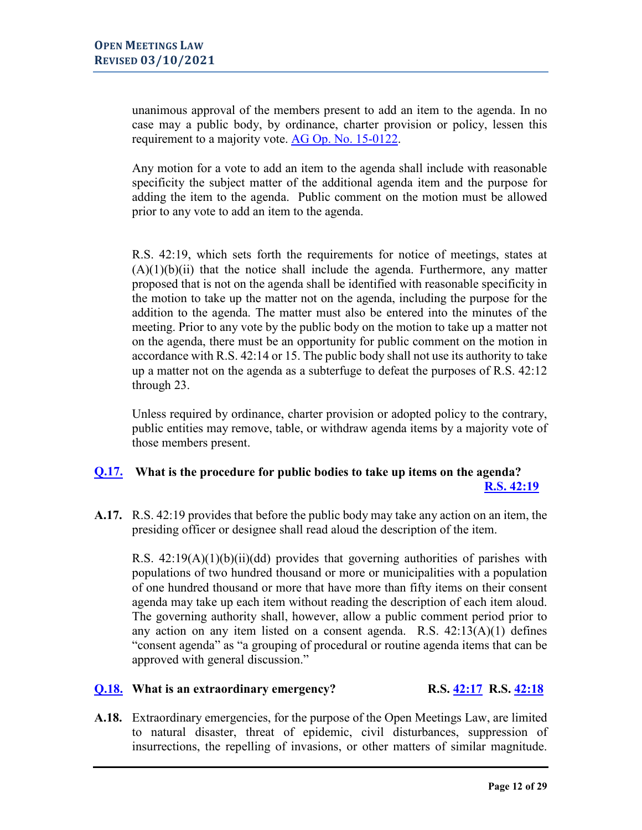unanimous approval of the members present to add an item to the agenda. In no case may a public body, by ordinance, charter provision or policy, lessen this requirement to a majority vote. [AG Op. No. 15-0122.](https://links.lla.la.gov/go.nsf/getAGO?OpenAgent&agokey=15-0122)

Any motion for a vote to add an item to the agenda shall include with reasonable specificity the subject matter of the additional agenda item and the purpose for adding the item to the agenda. Public comment on the motion must be allowed prior to any vote to add an item to the agenda.

R.S. 42:19, which sets forth the requirements for notice of meetings, states at  $(A)(1)(b)(ii)$  that the notice shall include the agenda. Furthermore, any matter proposed that is not on the agenda shall be identified with reasonable specificity in the motion to take up the matter not on the agenda, including the purpose for the addition to the agenda. The matter must also be entered into the minutes of the meeting. Prior to any vote by the public body on the motion to take up a matter not on the agenda, there must be an opportunity for public comment on the motion in accordance with R.S. 42:14 or 15. The public body shall not use its authority to take up a matter not on the agenda as a subterfuge to defeat the purposes of R.S. 42:12 through 23.

Unless required by ordinance, charter provision or adopted policy to the contrary, public entities may remove, table, or withdraw agenda items by a majority vote of those members present.

### <span id="page-11-0"></span>**[Q.17.](#page-0-0) What is the procedure for public bodies to take up items on the agenda? [R.S. 42:19](http://legis.la.gov/Legis/Law.aspx?d=99506)**

**A.17.** R.S. 42:19 provides that before the public body may take any action on an item, the presiding officer or designee shall read aloud the description of the item.

R.S.  $42:19(A)(1)(b)(ii)(dd)$  provides that governing authorities of parishes with populations of two hundred thousand or more or municipalities with a population of one hundred thousand or more that have more than fifty items on their consent agenda may take up each item without reading the description of each item aloud. The governing authority shall, however, allow a public comment period prior to any action on any item listed on a consent agenda. R.S. 42:13(A)(1) defines "consent agenda" as "a grouping of procedural or routine agenda items that can be approved with general discussion."

# <span id="page-11-1"></span>**[Q.18.](#page-0-0) What is an extraordinary emergency? R.S. [42:17](http://legis.la.gov/Legis/Law.aspx?p=y&d=99493) R.S. [42:18](http://legis.la.gov/Legis/Law.aspx?d=99494)**

**A.18.** Extraordinary emergencies, for the purpose of the Open Meetings Law, are limited to natural disaster, threat of epidemic, civil disturbances, suppression of insurrections, the repelling of invasions, or other matters of similar magnitude.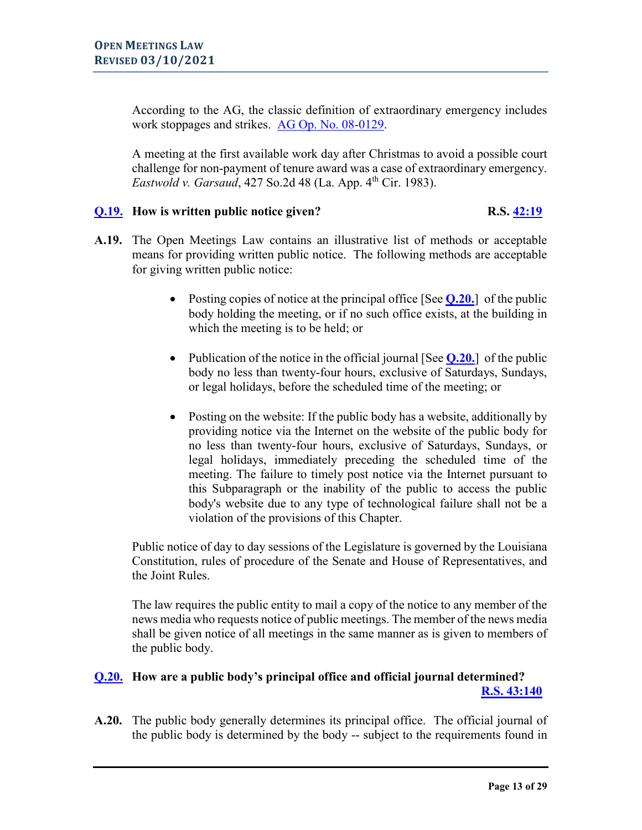According to the AG, the classic definition of extraordinary emergency includes work stoppages and strikes. [AG Op. No. 08-0129.](https://links.lla.la.gov/go.nsf/getAGO?OpenAgent&agokey=08-0129)

A meeting at the first available work day after Christmas to avoid a possible court challenge for non-payment of tenure award was a case of extraordinary emergency. *Eastwold v. Garsaud*, 427 So.2d 48 (La. App. 4<sup>th</sup> Cir. 1983).

# <span id="page-12-0"></span>**[Q.19.](#page-0-0) How is written public notice given? R.S. [42:19](http://legis.la.gov/Legis/Law.aspx?d=99506)**

- **A.19.** The Open Meetings Law contains an illustrative list of methods or acceptable means for providing written public notice. The following methods are acceptable for giving written public notice:
	- Posting copies of notice at the principal office [See **[Q.20.](#page-12-1)**] of the public body holding the meeting, or if no such office exists, at the building in which the meeting is to be held; or
	- Publication of the notice in the official journal [See [Q.20.](#page-12-1)] of the public body no less than twenty-four hours, exclusive of Saturdays, Sundays, or legal holidays, before the scheduled time of the meeting; or
	- Posting on the website: If the public body has a website, additionally by providing notice via the Internet on the website of the public body for no less than twenty-four hours, exclusive of Saturdays, Sundays, or legal holidays, immediately preceding the scheduled time of the meeting. The failure to timely post notice via the Internet pursuant to this Subparagraph or the inability of the public to access the public body's website due to any type of technological failure shall not be a violation of the provisions of this Chapter.

Public notice of day to day sessions of the Legislature is governed by the Louisiana Constitution, rules of procedure of the Senate and House of Representatives, and the Joint Rules.

The law requires the public entity to mail a copy of the notice to any member of the news media who requests notice of public meetings. The member of the news media shall be given notice of all meetings in the same manner as is given to members of the public body.

# <span id="page-12-1"></span>**[Q.20.](#page-0-0) How are a public body's principal office and official journal determined? [R.S. 43:140](http://legis.la.gov/Legis/Law.aspx?d=99568)**

**A.20.** The public body generally determines its principal office. The official journal of the public body is determined by the body -- subject to the requirements found in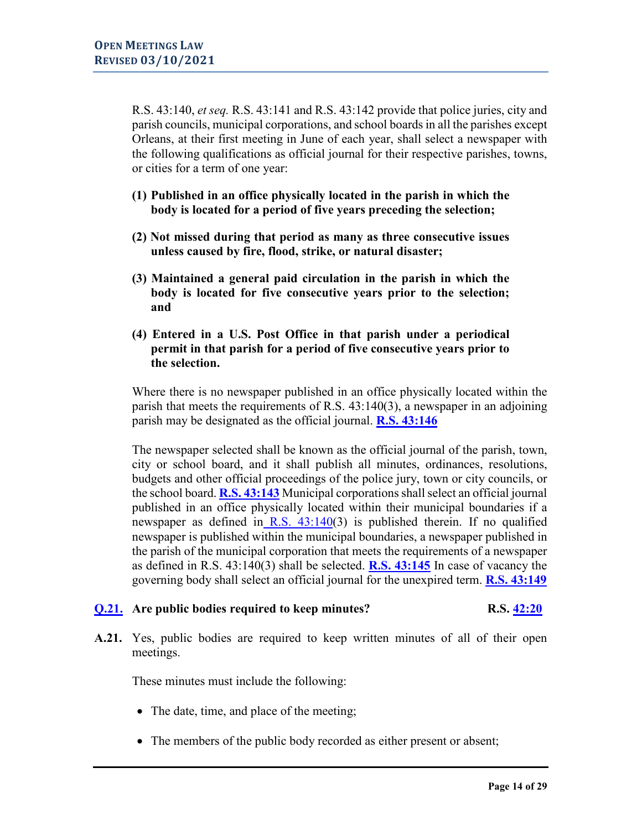R.S. 43:140, *et seq.* R.S. 43:141 and R.S. 43:142 provide that police juries, city and parish councils, municipal corporations, and school boards in all the parishes except Orleans, at their first meeting in June of each year, shall select a newspaper with the following qualifications as official journal for their respective parishes, towns, or cities for a term of one year:

- **(1) Published in an office physically located in the parish in which the body is located for a period of five years preceding the selection;**
- **(2) Not missed during that period as many as three consecutive issues unless caused by fire, flood, strike, or natural disaster;**
- **(3) Maintained a general paid circulation in the parish in which the body is located for five consecutive years prior to the selection; and**
- **(4) Entered in a U.S. Post Office in that parish under a periodical permit in that parish for a period of five consecutive years prior to the selection.**

Where there is no newspaper published in an office physically located within the parish that meets the requirements of R.S. 43:140(3), a newspaper in an adjoining parish may be designated as the official journal. **[R.S. 43:146](http://legis.la.gov/Legis/Law.aspx?d=99574)**

The newspaper selected shall be known as the official journal of the parish, town, city or school board, and it shall publish all minutes, ordinances, resolutions, budgets and other official proceedings of the police jury, town or city councils, or the school board. **[R.S. 43:143](http://legis.la.gov/Legis/Law.aspx?p=y&d=99571)** Municipal corporations shall select an official journal published in an office physically located within their municipal boundaries if a newspaper as defined in R.S.  $43:140(3)$  $43:140(3)$  is published therein. If no qualified newspaper is published within the municipal boundaries, a newspaper published in the parish of the municipal corporation that meets the requirements of a newspaper as defined in R.S. 43:140(3) shall be selected. **[R.S. 43:145](http://legis.la.gov/Legis/Law.aspx?d=99573)** In case of vacancy the governing body shall select an official journal for the unexpired term. **[R.S. 43:149](http://www.legis.la.gov/Legis/Law.aspx?d=99577)**

# <span id="page-13-0"></span>**[Q.21.](#page-0-0) Are public bodies required to keep minutes? R.S. [42:20](http://legis.la.gov/Legis/Law.aspx?d=99507)**

**A.21.** Yes, public bodies are required to keep written minutes of all of their open meetings.

These minutes must include the following:

- The date, time, and place of the meeting;
- The members of the public body recorded as either present or absent;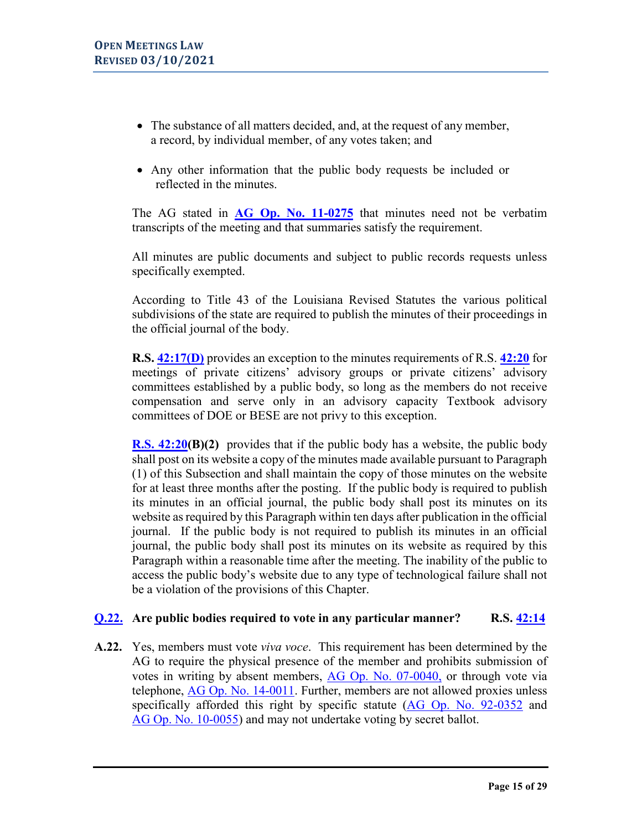- The substance of all matters decided, and, at the request of any member, a record, by individual member, of any votes taken; and
- Any other information that the public body requests be included or reflected in the minutes.

The AG stated in **[AG Op. No.](https://links.lla.la.gov/go.nsf/getAGO?OpenAgent&agokey=11-0275) 11-0275** that minutes need not be verbatim transcripts of the meeting and that summaries satisfy the requirement.

All minutes are public documents and subject to public records requests unless specifically exempted.

According to Title 43 of the Louisiana Revised Statutes the various political subdivisions of the state are required to publish the minutes of their proceedings in the official journal of the body.

**R.S. [42:17\(D\)](http://legis.la.gov/Legis/Law.aspx?p=y&d=99493)** provides an exception to the minutes requirements of R.S. **[42:20](http://legis.la.gov/Legis/Law.aspx?d=99507)** for meetings of private citizens' advisory groups or private citizens' advisory committees established by a public body, so long as the members do not receive compensation and serve only in an advisory capacity Textbook advisory committees of DOE or BESE are not privy to this exception.

**R.S. [42:20\(](http://www.legis.la.gov/Legis/Law.aspx?d=99507)B)(2)** provides that if the public body has a website, the public body shall post on its website a copy of the minutes made available pursuant to Paragraph (1) of this Subsection and shall maintain the copy of those minutes on the website for at least three months after the posting. If the public body is required to publish its minutes in an official journal, the public body shall post its minutes on its website as required by this Paragraph within ten days after publication in the official journal. If the public body is not required to publish its minutes in an official journal, the public body shall post its minutes on its website as required by this Paragraph within a reasonable time after the meeting. The inability of the public to access the public body's website due to any type of technological failure shall not be a violation of the provisions of this Chapter.

## <span id="page-14-0"></span>**[Q.22.](#page-0-0) Are public bodies required to vote in any particular manner? R.S. [42:14](http://legis.la.gov/Legis/Law.aspx?p=y&d=99481)**

**A.22.** Yes, members must vote *viva voce*. This requirement has been determined by the AG to require the physical presence of the member and prohibits submission of votes in writing by absent members, [AG Op. No. 07-0040,](https://links.lla.la.gov/go.nsf/getAGO?OpenAgent&agokey=07-0040) or through vote via telephone, [AG Op. No. 14-0011.](https://links.lla.la.gov/go.nsf/getAGO?OpenAgent&agokey=14-0011) Further, members are not allowed proxies unless specifically afforded this right by specific statute [\(AG Op. No.](https://links.lla.la.gov/go.nsf/getAGO?OpenAgent&agokey=92-0352) 92-0352 and [AG Op. No. 10-0055\)](https://links.lla.la.gov/go.nsf/getAGO?OpenAgent&agokey=10-0055) and may not undertake voting by secret ballot.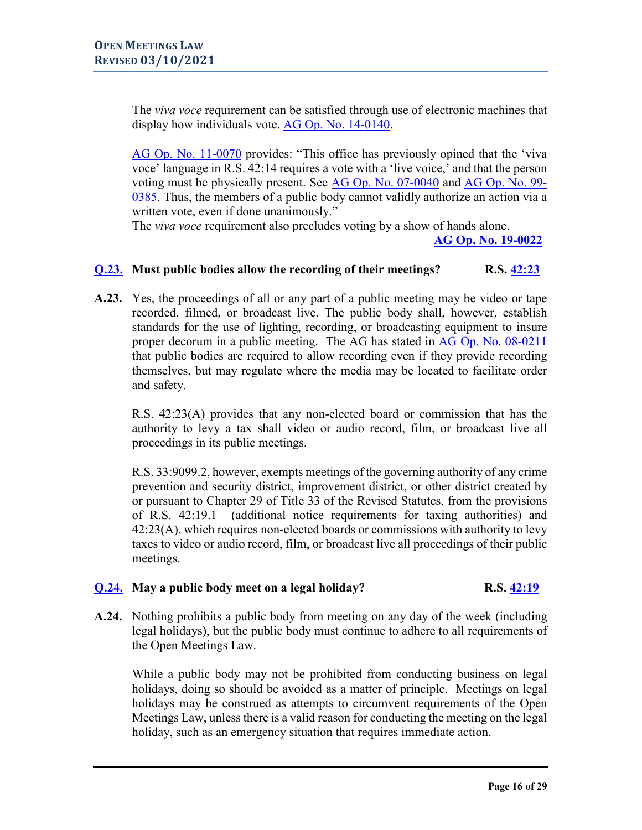The *viva voce* requirement can be satisfied through use of electronic machines that display how individuals vote. [AG Op. No.](https://links.lla.la.gov/go.nsf/getAGO?OpenAgent&agokey=14-0140) 14-0140.

[AG Op. No. 11-0070](https://links.lla.la.gov/go.nsf/getAGO?OpenAgent&agokey=11-0070) provides: "This office has previously opined that the 'viva voce' language in R.S. 42:14 requires a vote with a 'live voice,' and that the person voting must be physically present. See AG [Op. No. 07-0040](https://links.lla.la.gov/go.nsf/getAGO?OpenAgent&agokey=07-0040) and [AG Op. No. 99-](https://links.lla.la.gov/go.nsf/getAGO?OpenAgent&agokey=99-0385) [0385.](https://links.lla.la.gov/go.nsf/getAGO?OpenAgent&agokey=99-0385) Thus, the members of a public body cannot validly authorize an action via a written vote, even if done unanimously."

The *viva voce* requirement also precludes voting by a show of hands alone.

**[AG Op. No. 19-0022](https://links.lla.la.gov/go.nsf/getAGO?OpenAgent&agokey=19-0022)**

# <span id="page-15-0"></span>**[Q.23.](#page-0-0) Must public bodies allow the recording of their meetings? R.S. [42:23](http://legis.la.gov/Legis/Law.aspx?d=99525)**

**A.23.** Yes, the proceedings of all or any part of a public meeting may be video or tape recorded, filmed, or broadcast live. The public body shall, however, establish standards for the use of lighting, recording, or broadcasting equipment to insure proper decorum in a public meeting. The AG has stated in AG Op. [No. 08-0211](https://links.lla.la.gov/go.nsf/getAGO?OpenAgent&agokey=08-0211) that public bodies are required to allow recording even if they provide recording themselves, but may regulate where the media may be located to facilitate order and safety.

R.S. 42:23(A) provides that any non-elected board or commission that has the authority to levy a tax shall video or audio record, film, or broadcast live all proceedings in its public meetings.

R.S. 33:9099.2, however, exempts meetings of the governing authority of any crime prevention and security district, improvement district, or other district created by or pursuant to Chapter 29 of Title 33 of the Revised Statutes, from the provisions of R.S. 42:19.1 (additional notice requirements for taxing authorities) and 42:23(A), which requires non-elected boards or commissions with authority to levy taxes to video or audio record, film, or broadcast live all proceedings of their public meetings.

# <span id="page-15-1"></span>**[Q.24.](#page-0-0)** May a public body meet on a legal holiday? R.S.  $\frac{42:19}{ }$

**A.24.** Nothing prohibits a public body from meeting on any day of the week (including legal holidays), but the public body must continue to adhere to all requirements of the Open Meetings Law.

While a public body may not be prohibited from conducting business on legal holidays, doing so should be avoided as a matter of principle. Meetings on legal holidays may be construed as attempts to circumvent requirements of the Open Meetings Law, unless there is a valid reason for conducting the meeting on the legal holiday, such as an emergency situation that requires immediate action.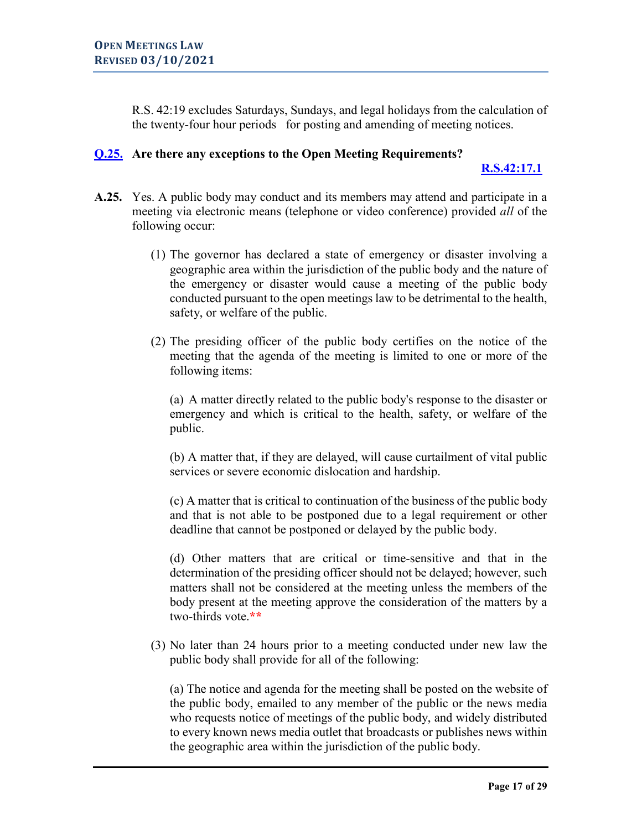R.S. 42:19 excludes Saturdays, Sundays, and legal holidays from the calculation of the twenty-four hour periods for posting and amending of meeting notices.

# <span id="page-16-0"></span>**[Q.25.](#page-0-0) Are there any exceptions to the Open Meeting Requirements?**

# **[R.S.42:17.1](http://www.legis.la.gov/Legis/Law.aspx?d=1187592)**

- **A.25.** Yes. A public body may conduct and its members may attend and participate in a meeting via electronic means (telephone or video conference) provided *all* of the following occur:
	- (1) The governor has declared a state of emergency or disaster involving a geographic area within the jurisdiction of the public body and the nature of the emergency or disaster would cause a meeting of the public body conducted pursuant to the open meetings law to be detrimental to the health, safety, or welfare of the public.
	- (2) The presiding officer of the public body certifies on the notice of the meeting that the agenda of the meeting is limited to one or more of the following items:

(a) A matter directly related to the public body's response to the disaster or emergency and which is critical to the health, safety, or welfare of the public.

(b) A matter that, if they are delayed, will cause curtailment of vital public services or severe economic dislocation and hardship.

(c) A matter that is critical to continuation of the business of the public body and that is not able to be postponed due to a legal requirement or other deadline that cannot be postponed or delayed by the public body.

(d) Other matters that are critical or time-sensitive and that in the determination of the presiding officer should not be delayed; however, such matters shall not be considered at the meeting unless the members of the body present at the meeting approve the consideration of the matters by a two-thirds vote.**\*\***

(3) No later than 24 hours prior to a meeting conducted under new law the public body shall provide for all of the following:

(a) The notice and agenda for the meeting shall be posted on the website of the public body, emailed to any member of the public or the news media who requests notice of meetings of the public body, and widely distributed to every known news media outlet that broadcasts or publishes news within the geographic area within the jurisdiction of the public body.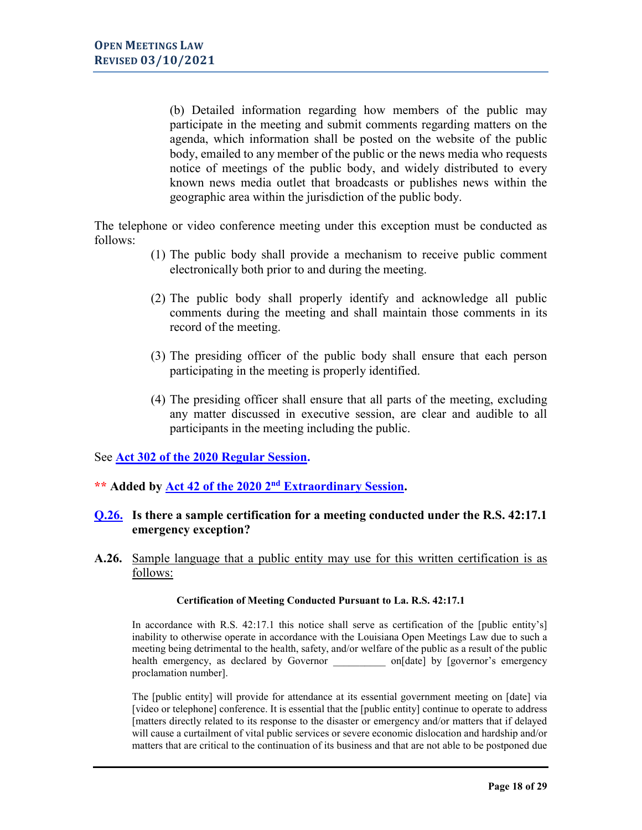(b) Detailed information regarding how members of the public may participate in the meeting and submit comments regarding matters on the agenda, which information shall be posted on the website of the public body, emailed to any member of the public or the news media who requests notice of meetings of the public body, and widely distributed to every known news media outlet that broadcasts or publishes news within the geographic area within the jurisdiction of the public body.

The telephone or video conference meeting under this exception must be conducted as follows:

- (1) The public body shall provide a mechanism to receive public comment electronically both prior to and during the meeting.
- (2) The public body shall properly identify and acknowledge all public comments during the meeting and shall maintain those comments in its record of the meeting.
- (3) The presiding officer of the public body shall ensure that each person participating in the meeting is properly identified.
- <span id="page-17-0"></span>(4) The presiding officer shall ensure that all parts of the meeting, excluding any matter discussed in executive session, are clear and audible to all participants in the meeting including the public.

See **[Act 302 of the 2020 Regular Session.](http://www.legis.la.gov/Legis/ViewDocument.aspx?d=1182327)** 

**\*\* Added by [Act 42 of the 2020 2nd](http://www.legis.la.gov/legis/ViewDocument.aspx?d=1194825) Extraordinary Session.**

# **[Q.26.](#page-0-0) Is there a sample certification for a meeting conducted under the R.S. 42:17.1 emergency exception?**

**A.26.** Sample language that a public entity may use for this written certification is as follows:

### **Certification of Meeting Conducted Pursuant to La. R.S. 42:17.1**

In accordance with R.S. 42:17.1 this notice shall serve as certification of the [public entity's] inability to otherwise operate in accordance with the Louisiana Open Meetings Law due to such a meeting being detrimental to the health, safety, and/or welfare of the public as a result of the public health emergency, as declared by Governor  $on[date]$  by [governor's emergency proclamation number].

The [public entity] will provide for attendance at its essential government meeting on [date] via [video or telephone] conference. It is essential that the [public entity] continue to operate to address [matters directly related to its response to the disaster or emergency and/or matters that if delayed will cause a curtailment of vital public services or severe economic dislocation and hardship and/or matters that are critical to the continuation of its business and that are not able to be postponed due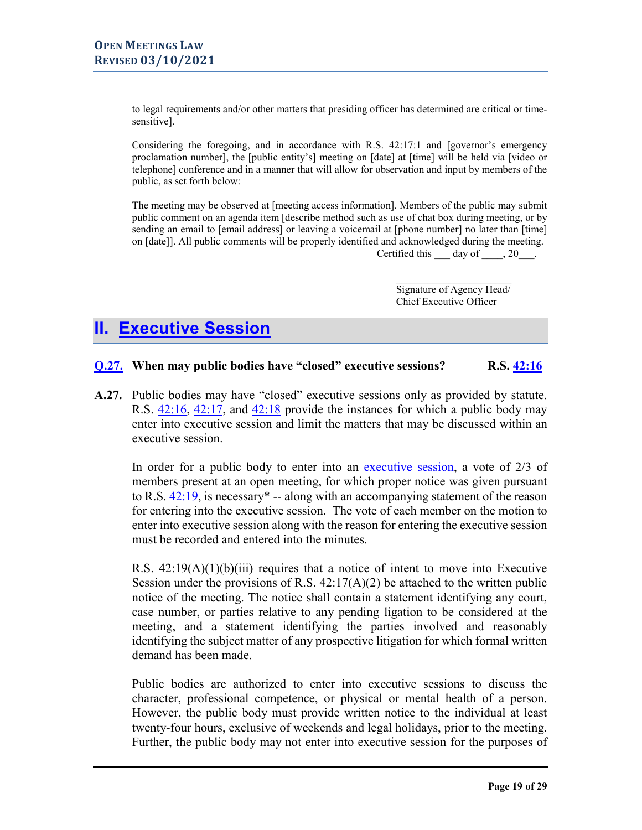to legal requirements and/or other matters that presiding officer has determined are critical or timesensitive].

Considering the foregoing, and in accordance with R.S. 42:17:1 and [governor's emergency proclamation number], the [public entity's] meeting on [date] at [time] will be held via [video or telephone] conference and in a manner that will allow for observation and input by members of the public, as set forth below:

The meeting may be observed at [meeting access information]. Members of the public may submit public comment on an agenda item [describe method such as use of chat box during meeting, or by sending an email to [email address] or leaving a voicemail at [phone number] no later than [time] on [date]]. All public comments will be properly identified and acknowledged during the meeting. Certified this day of , 20 .

> $\frac{1}{2}$  ,  $\frac{1}{2}$  ,  $\frac{1}{2}$  ,  $\frac{1}{2}$  ,  $\frac{1}{2}$  ,  $\frac{1}{2}$  ,  $\frac{1}{2}$  ,  $\frac{1}{2}$  ,  $\frac{1}{2}$  ,  $\frac{1}{2}$ Signature of Agency Head/ Chief Executive Officer

# <span id="page-18-0"></span>**II. [Executive Session](#page-0-0)**

### <span id="page-18-1"></span>**[Q.27.](#page-0-0)** When may public bodies have "closed" executive sessions? R.S.  $\frac{42:16}{ }$

**A.27.** Public bodies may have "closed" executive sessions only as provided by statute. R.S.  $42:16$ ,  $42:17$ , and  $42:18$  provide the instances for which a public body may enter into executive session and limit the matters that may be discussed within an executive session.

In order for a public body to enter into an [executive session,](#page-10-2) a vote of 2/3 of members present at an open meeting, for which proper notice was given pursuant to R.S.  $42:19$ , is necessary<sup>\*</sup> -- along with an accompanying statement of the reason for entering into the executive session. The vote of each member on the motion to enter into executive session along with the reason for entering the executive session must be recorded and entered into the minutes.

R.S.  $42:19(A)(1)(b)(iii)$  requires that a notice of intent to move into Executive Session under the provisions of R.S.  $42:17(A)(2)$  be attached to the written public notice of the meeting. The notice shall contain a statement identifying any court, case number, or parties relative to any pending ligation to be considered at the meeting, and a statement identifying the parties involved and reasonably identifying the subject matter of any prospective litigation for which formal written demand has been made.

Public bodies are authorized to enter into executive sessions to discuss the character, professional competence, or physical or mental health of a person. However, the public body must provide written notice to the individual at least twenty-four hours, exclusive of weekends and legal holidays, prior to the meeting. Further, the public body may not enter into executive session for the purposes of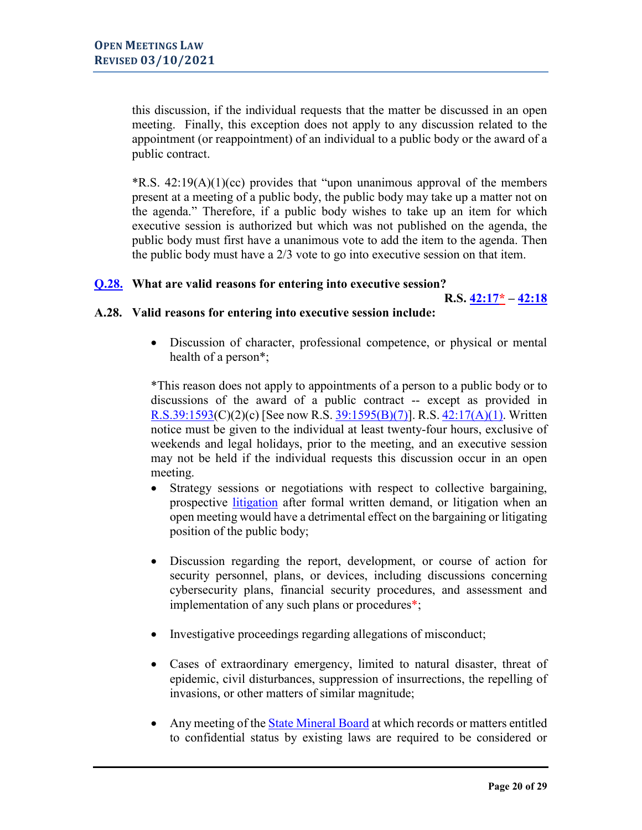this discussion, if the individual requests that the matter be discussed in an open meeting. Finally, this exception does not apply to any discussion related to the appointment (or reappointment) of an individual to a public body or the award of a public contract.

 $R.S. 42:19(A)(1)(cc)$  provides that "upon unanimous approval of the members" present at a meeting of a public body, the public body may take up a matter not on the agenda." Therefore, if a public body wishes to take up an item for which executive session is authorized but which was not published on the agenda, the public body must first have a unanimous vote to add the item to the agenda. Then the public body must have a  $2/3$  vote to go into executive session on that item.

## <span id="page-19-0"></span>**[Q.28.](#page-0-0) What are valid reasons for entering into executive session?**

**R.S. [42:17\\*](http://legis.la.gov/Legis/Law.aspx?p=y&d=99493) – [42:18](http://legis.la.gov/Legis/Law.aspx?d=99494)**

### **A.28. Valid reasons for entering into executive session include:**

• [Discussion of character, professional competence, or physical or mental](#page-11-1)  [health of a person\\*](#page-11-1);

\*This reason does not apply to appointments of a person to a public body or to discussions of the award of a public contract -- except as provided in [R.S.39:1593\(](http://www.legis.la.gov/Legis/Law.aspx?d=96065)C)(2)(c) [See now R.S. [39:1595\(B\)\(7\)\]](http://www.legis.la.gov/Legis/Law.aspx?d=96070). R.S. [42:17\(A\)\(1\).](http://www.legis.la.gov/Legis/Law.aspx?d=99493) Written notice must be given to the individual at least twenty-four hours, exclusive of weekends and legal holidays, prior to the meeting, and an executive session may not be held if the individual requests this discussion occur in an open meeting.

- Strategy sessions or negotiations with respect to collective bargaining, prospective [litigation](#page-11-1) after formal written demand, or litigation when an open meeting would have a detrimental effect on the bargaining or litigating position of the public body;
- Discussion regarding the report, development, or course of action for security personnel, plans, or devices, including discussions concerning cybersecurity plans, financial security procedures, and assessment and implementation of any such plans or procedures\*;
- Investigative proceedings regarding allegations of misconduct;
- Cases of extraordinary emergency, limited to natural disaster, threat of epidemic, civil disturbances, suppression of insurrections, the repelling of invasions, or other matters of similar magnitude;
- Any meeting of the [State Mineral](#page-12-0) Board at which records or matters entitled to confidential status by existing laws are required to be considered or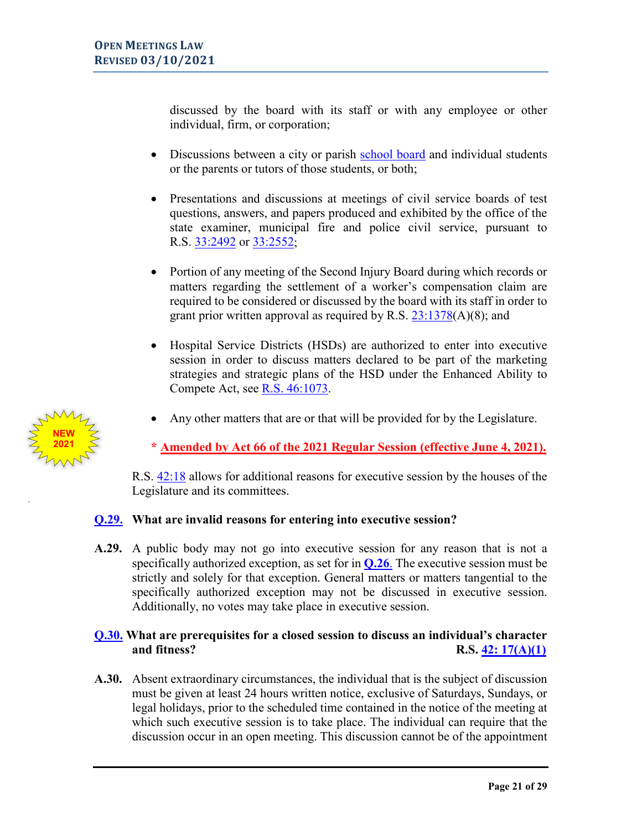discussed by the board with its staff or with any employee or other individual, firm, or corporation;

- Discussions between a city or parish [school board](#page-12-1) and individual students or the parents or tutors of those students, or both;
- Presentations and discussions at meetings of civil service boards of test questions, answers, and papers produced and exhibited by the office of the state examiner, municipal fire and police civil service, pursuant to R.S. [33:2492](http://legis.la.gov/Legis/Law.aspx?d=89657) or [33:2552;](http://legis.la.gov/Legis/Law.aspx?d=89706)
- Portion of any meeting of the Second Injury Board during which records or matters regarding the settlement of a worker's compensation claim are required to be considered or discussed by the board with its staff in order to grant prior written approval as required by R.S. [23:1378\(](http://legis.la.gov/Legis/Law.aspx?d=83526)A)(8); and
- Hospital Service Districts (HSDs) are authorized to enter into executive session in order to discuss matters declared to be part of the marketing strategies and strategic plans of the HSD under the Enhanced Ability to Compete Act, see [R.S. 46:1073.](http://www.legis.la.gov/Legis/Law.aspx?d=100205)
- Any other matters that are or that will be provided for by the Legislature.

**\* [Amended by Act 66 of the 2021 Regular Session \(effective June 4, 2021\).](https://legis.la.gov/legis/ViewDocument.aspx?d=1231943)**

R.S. [42:18](http://legis.la.gov/Legis/Law.aspx?d=99494) allows for additional reasons for executive session by the houses of the Legislature and its committees.

# <span id="page-20-0"></span>**[Q.29.](#page-0-0) What are invalid reasons for entering into executive session?**

**A.29.** A public body may not go into executive session for any reason that is not a specifically authorized exception, as set for in **[Q.26](#page-17-0)**. The executive session must be strictly and solely for that exception. General matters or matters tangential to the specifically authorized exception may not be discussed in executive session. Additionally, no votes may take place in executive session.

# <span id="page-20-1"></span>**[Q.30.](#page-0-0) What are prerequisites for a closed session to discuss an individual's character and fitness?** R.S.  $\frac{42}{17(A)(1)}$

**A.30.** Absent extraordinary circumstances, the individual that is the subject of discussion must be given at least 24 hours written notice, exclusive of Saturdays, Sundays, or legal holidays, prior to the scheduled time contained in the notice of the meeting at which such executive session is to take place. The individual can require that the discussion occur in an open meeting. This discussion cannot be of the appointment

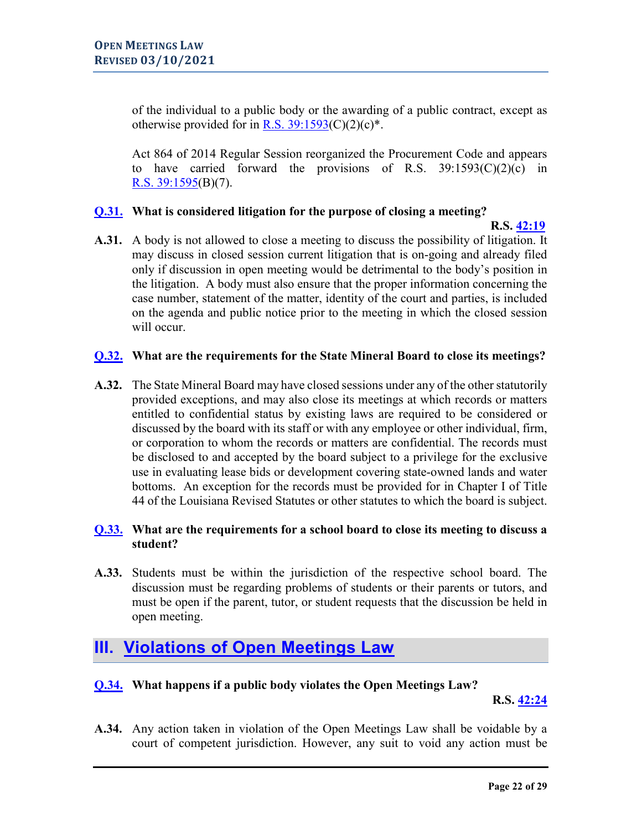of the individual to a public body or the awarding of a public contract, except as otherwise provided for in R.S.  $39:1593(C)(2)(c)^*$ .

Act 864 of 2014 Regular Session reorganized the Procurement Code and appears to have carried forward the provisions of R.S.  $39:1593(C)(2)(c)$  in [R.S. 39:1595\(](http://www.legis.la.gov/Legis/Law.aspx?d=96070)B)(7).

# <span id="page-21-0"></span>**[Q.31.](#page-0-0) What is considered litigation for the purpose of closing a meeting?**

 **R.S. [42:19](http://legis.la.gov/Legis/Law.aspx?d=99506)**

**A.31.** A body is not allowed to close a meeting to discuss the possibility of litigation. It may discuss in closed session current litigation that is on-going and already filed only if discussion in open meeting would be detrimental to the body's position in the litigation. A body must also ensure that the proper information concerning the case number, statement of the matter, identity of the court and parties, is included on the agenda and public notice prior to the meeting in which the closed session will occur.

# <span id="page-21-1"></span>**[Q.32.](#page-0-0) What are the requirements for the State Mineral Board to close its meetings?**

**A.32.** The State Mineral Board may have closed sessions under any of the other statutorily provided exceptions, and may also close its meetings at which records or matters entitled to confidential status by existing laws are required to be considered or discussed by the board with its staff or with any employee or other individual, firm, or corporation to whom the records or matters are confidential. The records must be disclosed to and accepted by the board subject to a privilege for the exclusive use in evaluating lease bids or development covering state-owned lands and water bottoms. An exception for the records must be provided for in Chapter I of Title 44 of the Louisiana Revised Statutes or other statutes to which the board is subject.

# <span id="page-21-2"></span>**[Q.33.](#page-0-0) What are the requirements for a school board to close its meeting to discuss a student?**

**A.33.** Students must be within the jurisdiction of the respective school board. The discussion must be regarding problems of students or their parents or tutors, and must be open if the parent, tutor, or student requests that the discussion be held in open meeting.

# <span id="page-21-3"></span>**III. [Violations of Open Meetings Law](#page-0-0)**

# <span id="page-21-4"></span>**[Q.34.](#page-0-0) What happens if a public body violates the Open Meetings Law?**

**R.S. [42:24](http://legis.la.gov/Legis/Law.aspx?d=99559)**

**A.34.** Any action taken in violation of the Open Meetings Law shall be voidable by a court of competent jurisdiction. However, any suit to void any action must be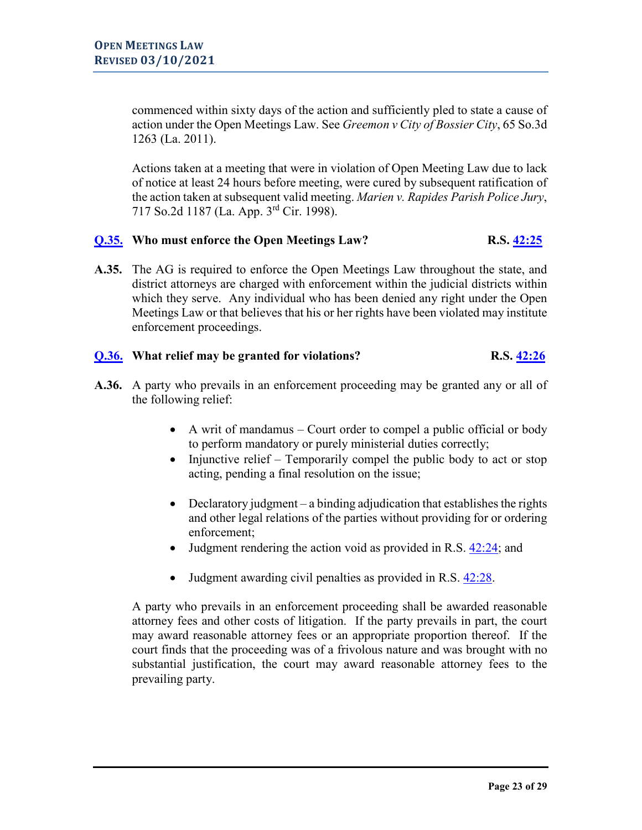commenced within sixty days of the action and sufficiently pled to state a cause of action under the Open Meetings Law. See *Greemon v City of Bossier City*, 65 So.3d 1263 (La. 2011).

Actions taken at a meeting that were in violation of Open Meeting Law due to lack of notice at least 24 hours before meeting, were cured by subsequent ratification of the action taken at subsequent valid meeting. *Marien v. Rapides Parish Police Jury*, 717 So.2d 1187 (La. App. 3rd Cir. 1998).

# <span id="page-22-0"></span>**[Q.35.](#page-0-0)** Who must enforce the Open Meetings Law? R.S.  $\frac{42:25}{25}$

**A.35.** The AG is required to enforce the Open Meetings Law throughout the state, and district attorneys are charged with enforcement within the judicial districts within which they serve. Any individual who has been denied any right under the Open Meetings Law or that believes that his or her rights have been violated may institute enforcement proceedings.

# <span id="page-22-1"></span>**[Q.36.](#page-0-0) What relief may be granted for violations? R.S. [42:26](http://legis.la.gov/Legis/Law.aspx?d=99212)**

- **A.36.** A party who prevails in an enforcement proceeding may be granted any or all of the following relief:
	- A writ of mandamus Court order to compel a public official or body to perform mandatory or purely ministerial duties correctly;
	- Injunctive relief Temporarily compel the public body to act or stop acting, pending a final resolution on the issue;
	- Declaratory judgment a binding adjudication that establishes the rights and other legal relations of the parties without providing for or ordering enforcement;
	- Judgment rendering the action void as provided in R.S.  $42:24$ ; and
	- Judgment awarding civil penalties as provided in R.S. [42:28.](http://legis.la.gov/Legis/Law.aspx?d=99299)

A party who prevails in an enforcement proceeding shall be awarded reasonable attorney fees and other costs of litigation. If the party prevails in part, the court may award reasonable attorney fees or an appropriate proportion thereof. If the court finds that the proceeding was of a frivolous nature and was brought with no substantial justification, the court may award reasonable attorney fees to the prevailing party.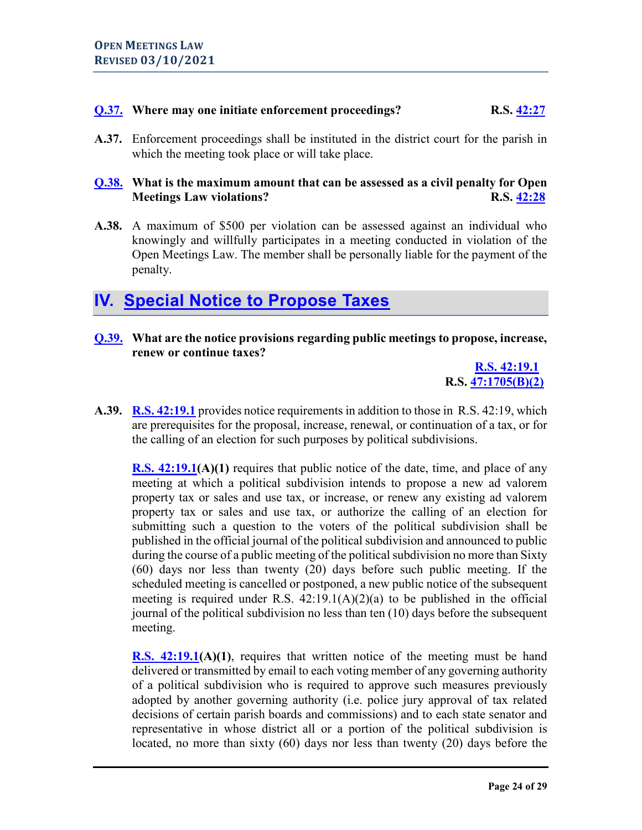# <span id="page-23-0"></span>**[Q.37.](#page-0-0) Where may one initiate enforcement proceedings? R.S. [42:27](http://legis.la.gov/Legis/Law.aspx?p=y&d=99274)**

**A.37.** Enforcement proceedings shall be instituted in the district court for the parish in which the meeting took place or will take place.

# <span id="page-23-1"></span>**[Q.38.](#page-0-0) What is the maximum amount that can be assessed as a civil penalty for Open Meetings Law violations? R.S. [42:28](http://legis.la.gov/Legis/Law.aspx?d=99299)**

**A.38.** A maximum of \$500 per violation can be assessed against an individual who knowingly and willfully participates in a meeting conducted in violation of the Open Meetings Law. The member shall be personally liable for the payment of the penalty.

# <span id="page-23-2"></span>**IV. [Special Notice to Propose Taxes](#page-0-0)**

<span id="page-23-3"></span>**[Q.39.](#page-0-0) What are the notice provisions regarding public meetings to propose, increase, renew or continue taxes?**

> **[R.S. 42:19.1](http://legis.la.gov/Legis/Law.aspx?p=y&d=860395) R.S. [47:1705\(B\)\(2\)](http://www.legis.la.gov/Legis/Law.aspx?d=101336)**

**A.39. [R.S. 42:19.1](http://www.legis.la.gov/Legis/Law.aspx?d=860395)** provides notice requirements in addition to those in R.S. 42:19, which are prerequisites for the proposal, increase, renewal, or continuation of a tax, or for the calling of an election for such purposes by political subdivisions.

**[R.S. 42:19.1\(](http://www.legis.la.gov/Legis/Law.aspx?d=860395)A)(1)** requires that public notice of the date, time, and place of any meeting at which a political subdivision intends to propose a new ad valorem property tax or sales and use tax, or increase, or renew any existing ad valorem property tax or sales and use tax, or authorize the calling of an election for submitting such a question to the voters of the political subdivision shall be published in the official journal of the political subdivision and announced to public during the course of a public meeting of the political subdivision no more than Sixty (60) days nor less than twenty (20) days before such public meeting. If the scheduled meeting is cancelled or postponed, a new public notice of the subsequent meeting is required under R.S.  $42:19.1(A)(2)(a)$  to be published in the official journal of the political subdivision no less than ten (10) days before the subsequent meeting.

**[R.S. 42:19.1\(](http://www.legis.la.gov/Legis/Law.aspx?d=860395)A)(1)**, requires that written notice of the meeting must be hand delivered or transmitted by email to each voting member of any governing authority of a political subdivision who is required to approve such measures previously adopted by another governing authority (i.e. police jury approval of tax related decisions of certain parish boards and commissions) and to each state senator and representative in whose district all or a portion of the political subdivision is located, no more than sixty (60) days nor less than twenty (20) days before the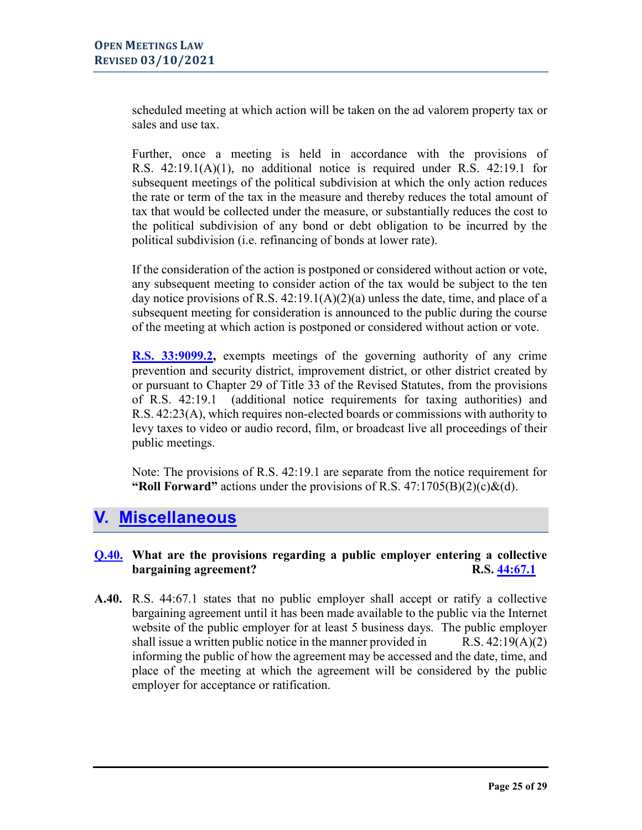scheduled meeting at which action will be taken on the ad valorem property tax or sales and use tax.

Further, once a meeting is held in accordance with the provisions of R.S. 42:19.1(A)(1), no additional notice is required under R.S. 42:19.1 for subsequent meetings of the political subdivision at which the only action reduces the rate or term of the tax in the measure and thereby reduces the total amount of tax that would be collected under the measure, or substantially reduces the cost to the political subdivision of any bond or debt obligation to be incurred by the political subdivision (i.e. refinancing of bonds at lower rate).

If the consideration of the action is postponed or considered without action or vote, any subsequent meeting to consider action of the tax would be subject to the ten day notice provisions of R.S.  $42:19.1(A)(2)(a)$  unless the date, time, and place of a subsequent meeting for consideration is announced to the public during the course of the meeting at which action is postponed or considered without action or vote.

**[R.S. 33:9099.2,](http://www.legis.la.gov/Legis/Law.aspx?d=921480)** exempts meetings of the governing authority of any crime prevention and security district, improvement district, or other district created by or pursuant to Chapter 29 of Title 33 of the Revised Statutes, from the provisions of R.S. 42:19.1 (additional notice requirements for taxing authorities) and R.S. 42:23(A), which requires non-elected boards or commissions with authority to levy taxes to video or audio record, film, or broadcast live all proceedings of their public meetings.

Note: The provisions of R.S. 42:19.1 are separate from the notice requirement for **"Roll Forward"** actions under the provisions of R.S. 47:1705(B)(2)(c)&(d).

# <span id="page-24-0"></span>**V. [Miscellaneous](#page-0-0)**

# <span id="page-24-1"></span>**[Q.40.](#page-0-0) What are the provisions regarding a public employer entering a collective bargaining agreement? R.S.** [44:67.1](http://www.legis.la.gov/legis/law.aspx?d=815518)

**A.40.** R.S. 44:67.1 states that no public employer shall accept or ratify a collective bargaining agreement until it has been made available to the public via the Internet website of the public employer for at least 5 business days. The public employer shall issue a written public notice in the manner provided in  $R.S. 42:19(A)(2)$ informing the public of how the agreement may be accessed and the date, time, and place of the meeting at which the agreement will be considered by the public employer for acceptance or ratification.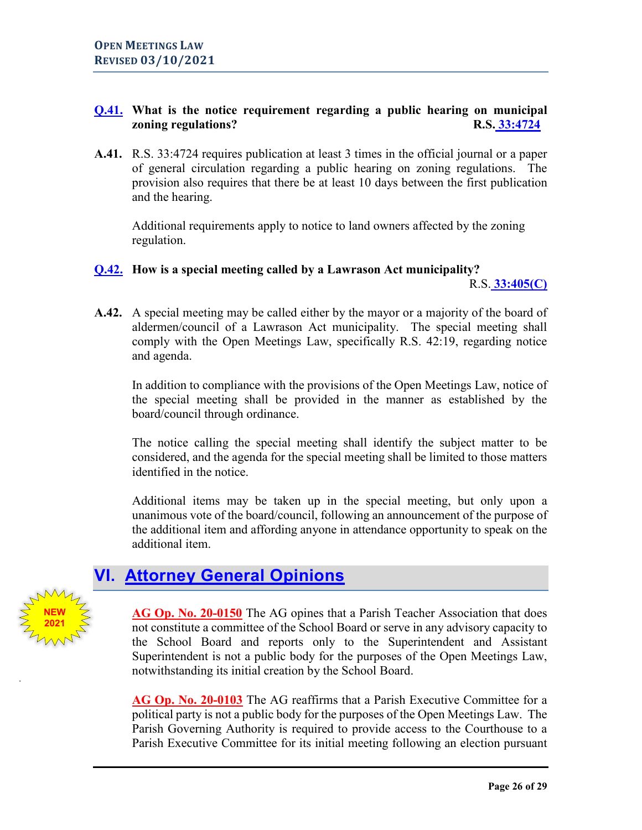# <span id="page-25-2"></span><span id="page-25-0"></span>**[Q.41.](#page-0-0) What is the notice requirement regarding a public hearing on municipal zoning regulations?** R.S. [33:4724](http://www.legis.la.gov/legis/law.aspx?d=91122)

**A.41.** R.S. 33:4724 requires publication at least 3 times in the official journal or a paper of general circulation regarding a public hearing on zoning regulations. The provision also requires that there be at least 10 days between the first publication and the hearing.

Additional requirements apply to notice to land owners affected by the zoning regulation.

## <span id="page-25-1"></span>**[Q.42.](#page-0-0) How is a special meeting called by a Lawrason Act municipality?**

R.S. **[33:405\(C\)](http://www.legis.la.gov/Legis/Law.aspx?d=90486)**

**A.42.** A special meeting may be called either by the mayor or a majority of the board of aldermen/council of a Lawrason Act municipality. The special meeting shall comply with the Open Meetings Law, specifically R.S. 42:19, regarding notice and agenda.

In addition to compliance with the provisions of the Open Meetings Law, notice of the special meeting shall be provided in the manner as established by the board/council through ordinance.

The notice calling the special meeting shall identify the subject matter to be considered, and the agenda for the special meeting shall be limited to those matters identified in the notice.

Additional items may be taken up in the special meeting, but only upon a unanimous vote of the board/council, following an announcement of the purpose of the additional item and affording anyone in attendance opportunity to speak on the additional item.

# **VI. [Attorney General Opinions](#page-0-0)**

**NEW 2021** **[AG Op. No. 20-0150](https://links.lla.la.gov/go.nsf/getAGO?OpenAgent&agokey=20-0150)** The AG opines that a Parish Teacher Association that does not constitute a committee of the School Board or serve in any advisory capacity to the School Board and reports only to the Superintendent and Assistant Superintendent is not a public body for the purposes of the Open Meetings Law, notwithstanding its initial creation by the School Board.

**[AG Op. No. 20-0103](https://links.lla.la.gov/go.nsf/getAGO?OpenAgent&agokey=20-0103)** The AG reaffirms that a Parish Executive Committee for a political party is not a public body for the purposes of the Open Meetings Law. The Parish Governing Authority is required to provide access to the Courthouse to a Parish Executive Committee for its initial meeting following an election pursuant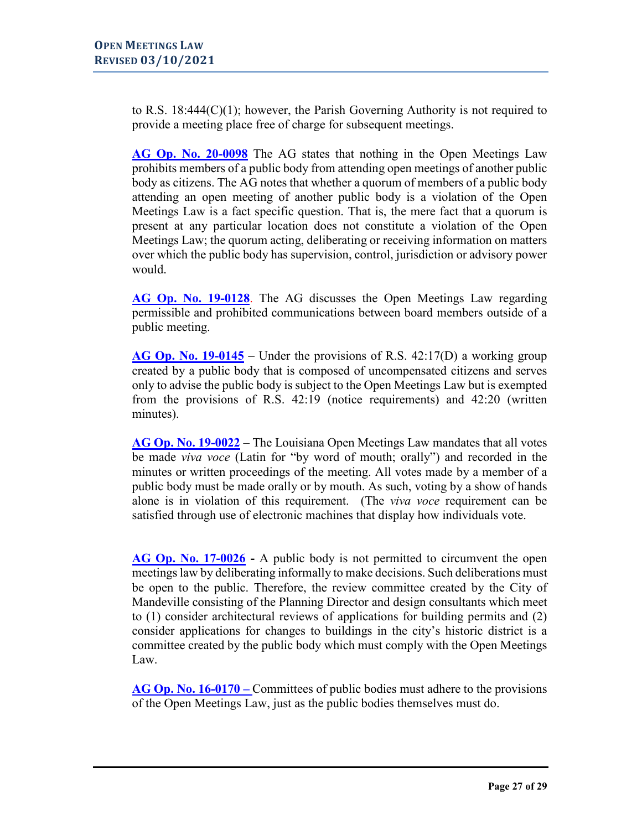to R.S. 18:444(C)(1); however, the Parish Governing Authority is not required to provide a meeting place free of charge for subsequent meetings.

**[AG Op. No. 20-0098](https://links.lla.la.gov/go.nsf/getAGO?OpenAgent&agokey=20-0098)** The AG states that nothing in the Open Meetings Law prohibits members of a public body from attending open meetings of another public body as citizens. The AG notes that whether a quorum of members of a public body attending an open meeting of another public body is a violation of the Open Meetings Law is a fact specific question. That is, the mere fact that a quorum is present at any particular location does not constitute a violation of the Open Meetings Law; the quorum acting, deliberating or receiving information on matters over which the public body has supervision, control, jurisdiction or advisory power would.

[AG Op. No. 19-0128](https://links.lla.la.gov/go.nsf/getAGO?OpenAgent&agokey=19-0128). The AG discusses the Open Meetings Law regarding permissible and prohibited communications between board members outside of a public meeting.

**[AG Op. No. 19-0145](https://links.lla.la.gov/go.nsf/getAGO?OpenAgent&agokey=19-0145)** – Under the provisions of R.S. 42:17(D) a working group created by a public body that is composed of uncompensated citizens and serves only to advise the public body is subject to the Open Meetings Law but is exempted from the provisions of R.S. 42:19 (notice requirements) and 42:20 (written minutes).

**[AG Op. No. 19-0022](https://links.lla.la.gov/go.nsf/getAGO?OpenAgent&agokey=19-0022)** – The Louisiana Open Meetings Law mandates that all votes be made *viva voce* (Latin for "by word of mouth; orally") and recorded in the minutes or written proceedings of the meeting. All votes made by a member of a public body must be made orally or by mouth. As such, voting by a show of hands alone is in violation of this requirement. (The *viva voce* requirement can be satisfied through use of electronic machines that display how individuals vote.

**[AG Op. No. 17-0026](https://links.lla.la.gov/go.nsf/getAGO?OpenAgent&agokey=17-0026) -** A public body is not permitted to circumvent the open meetings law by deliberating informally to make decisions. Such deliberations must be open to the public. Therefore, the review committee created by the City of Mandeville consisting of the Planning Director and design consultants which meet to (1) consider architectural reviews of applications for building permits and (2) consider applications for changes to buildings in the city's historic district is a committee created by the public body which must comply with the Open Meetings Law.

**[AG Op. No. 16-0170](https://links.lla.la.gov/go.nsf/getAGO?OpenAgent&agokey=16-0170) –** Committees of public bodies must adhere to the provisions of the Open Meetings Law, just as the public bodies themselves must do.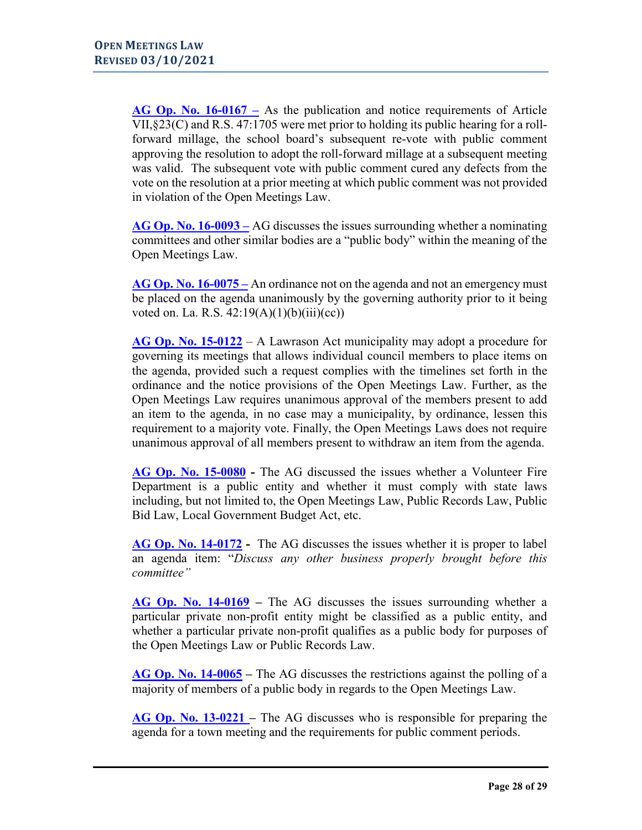**[AG Op. No. 16-0167](https://links.lla.la.gov/go.nsf/getAGO?OpenAgent&agokey=16-0167) –** As the publication and notice requirements of Article VII,§23(C) and R.S. 47:1705 were met prior to holding its public hearing for a rollforward millage, the school board's subsequent re-vote with public comment approving the resolution to adopt the roll-forward millage at a subsequent meeting was valid. The subsequent vote with public comment cured any defects from the vote on the resolution at a prior meeting at which public comment was not provided in violation of the Open Meetings Law.

**[AG Op. No. 16-0093 –](https://links.lla.la.gov/go.nsf/getAGO?OpenAgent&agokey=16-0093)** AG discusses the issues surrounding whether a nominating committees and other similar bodies are a "public body" within the meaning of the Open Meetings Law.

**[AG Op. No. 16-0075 –](https://links.lla.la.gov/go.nsf/getAGO?OpenAgent&agokey=16-0075)** An ordinance not on the agenda and not an emergency must be placed on the agenda unanimously by the governing authority prior to it being voted on. La. R.S.  $42:19(A)(1)(b)(iii)(cc))$ 

**[AG Op. No. 15-0122](https://links.lla.la.gov/go.nsf/getAGO?OpenAgent&agokey=15-0122)** – A Lawrason Act municipality may adopt a procedure for governing its meetings that allows individual council members to place items on the agenda, provided such a request complies with the timelines set forth in the ordinance and the notice provisions of the Open Meetings Law. Further, as the Open Meetings Law requires unanimous approval of the members present to add an item to the agenda, in no case may a municipality, by ordinance, lessen this requirement to a majority vote. Finally, the Open Meetings Laws does not require unanimous approval of all members present to withdraw an item from the agenda.

**[AG Op. No. 15-0080](https://links.lla.la.gov/go.nsf/getAGO?OpenAgent&agokey=15-0080) -** The AG discussed the issues whether a Volunteer Fire Department is a public entity and whether it must comply with state laws including, but not limited to, the Open Meetings Law, Public Records Law, Public Bid Law, Local Government Budget Act, etc.

**[AG Op. No. 14-0172](https://links.lla.la.gov/go.nsf/getAGO?OpenAgent&agokey=14-0172) -** The AG discusses the issues whether it is proper to label an agenda item: "*Discuss any other business properly brought before this committee"* 

**[AG Op. No. 14-0169](https://links.lla.la.gov/go.nsf/getAGO?OpenAgent&agokey=14-0169) –** The AG discusses the issues surrounding whether a particular private non-profit entity might be classified as a public entity, and whether a particular private non-profit qualifies as a public body for purposes of the Open Meetings Law or Public Records Law.

**[AG Op. No. 14-0065](https://links.lla.la.gov/go.nsf/getAGO?OpenAgent&agokey=14-0065) –** The AG discusses the restrictions against the polling of a majority of members of a public body in regards to the Open Meetings Law.

**[AG Op. No. 13-0221 –](https://links.lla.la.gov/go.nsf/getAGO?OpenAgent&agokey=13-0221)** The AG discusses who is responsible for preparing the agenda for a town meeting and the requirements for public comment periods.